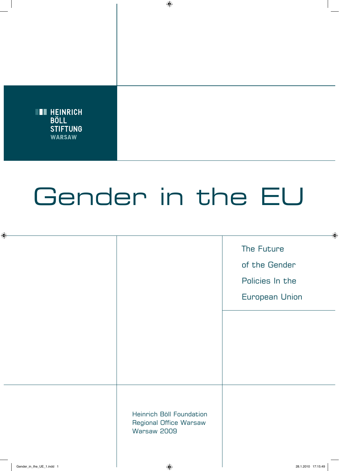

## Gender in the EU

|                                                                   | The Future<br>of the Gender<br>Policies In the<br><b>European Union</b> |
|-------------------------------------------------------------------|-------------------------------------------------------------------------|
|                                                                   |                                                                         |
| Heinrich Böll Foundation<br>Regional Office Warsaw<br>Warsaw 2009 |                                                                         |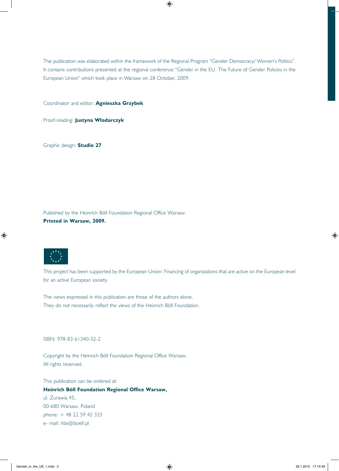The publication was elaborated within the framework of the Regional Program "Gender Democracy/ Women's Politics". It contains contributions presented at the regional conference "Gender in the EU. The Future of Gender Policies in the European Union" which took place in Warsaw on 28 October, 2009.

Coordinator and editor: **Agnieszka Grzybek**

Proof-reading: **Justyna Włodarczyk**

Graphic design: **Studio 27**

Published by the Heinrich Böll Foundation Regional Office Warsaw. **Printed in Warsaw, 2009.**



This project has been supported by the European Union: Financing of organizations that are active on the European level for an active European society.

The views expressed in this publication are those of the authors alone. They do not necessarily reflect the views of the Heinrich Böll Foundation.

ISBN: 978-83-61340-52-2

Copyright by the Heinrich Böll Foundation Regional Office Warsaw. All rights reserved.

This publication can be ordered at:

**Heinrich Böll Foundation Regional Office Warsaw,**

ul. Żurawia 45, 00-680 Warsaw, Poland phone: + 48 22 59 42 333 e- mail: hbs@boell.pl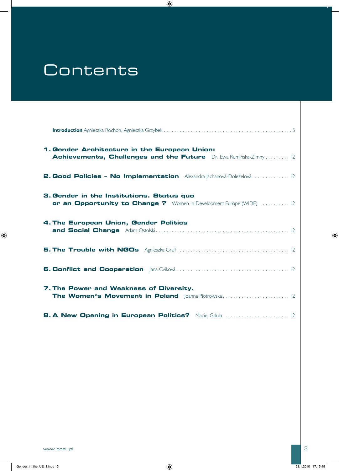## **Contents**

| 1. Gender Architecture in the European Union:<br>Achievements, Challenges and the Future Dr. Ewa Ruminska-Zimny  12 |
|---------------------------------------------------------------------------------------------------------------------|
| <b>2. Good Policies - No Implementation</b> Alexandra Jachanová-Doleželová12                                        |
| 3. Gender in the Institutions. Status quo<br>or an Opportunity to Change ? Women In Development Europe (WIDE) 12    |
| 4. The European Union, Gender Politics                                                                              |
|                                                                                                                     |
|                                                                                                                     |
| 7. The Power and Weakness of Diversity.                                                                             |
|                                                                                                                     |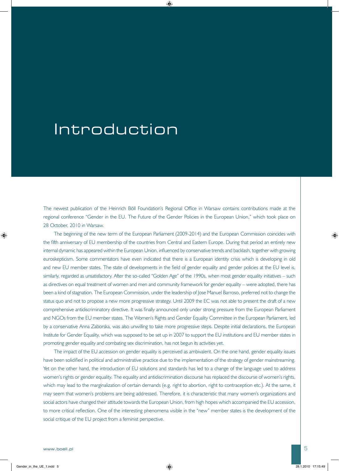## Introduction

The newest publication of the Heinrich Böll Foundation's Regional Office in Warsaw contains contributions made at the regional conference "Gender in the EU. The Future of the Gender Policies in the European Union," which took place on 28 October, 2010 in Warsaw.

The beginning of the new term of the European Parliament (2009-2014) and the European Commission coincides with the fifth anniversary of EU membership of the countries from Central and Eastern Europe. During that period an entirely new internal dynamic has appeared within the European Union, influenced by conservative trends and backlash, together with growing euroskepticism. Some commentators have even indicated that there is a European identity crisis which is developing in old and new EU member states. The state of developments in the field of gender equality and gender policies at the EU level is, similarly, regarded as unsatisfactory. After the so-called "Golden Age" of the 1990s, when most gender equality initiatives – such as directives on equal treatment of women and men and community framework for gender equality – were adopted, there has been a kind of stagnation. The European Commission, under the leadership of Jose Manuel Barroso, preferred not to change the status quo and not to propose a new more progressive strategy. Until 2009 the EC was not able to present the draft of a new comprehensive antidiscriminatory directive. It was finally announced only under strong pressure from the European Parliament and NGOs from the EU member states. The Women's Rights and Gender Equality Committee in the European Parliament, led by a conservative Anna Zaborska, was also unwilling to take more progressive steps. Despite initial declarations, the European Institute for Gender Equality, which was supposed to be set up in 2007 to support the EU institutions and EU member states in promoting gender equality and combating sex discrimination, has not begun its activities yet.

The impact of the EU accession on gender equality is perceived as ambivalent. On the one hand, gender equality issues have been solidified in political and administrative practice due to the implementation of the strategy of gender mainstreaming. Yet on the other hand, the introduction of EU solutions and standards has led to a change of the language used to address women's rights or gender equality. The equality and antidiscrimination discourse has replaced the discourse of women's rights, which may lead to the marginalization of certain demands (e.g. right to abortion, right to contraception etc.). At the same, it may seem that women's problems are being addressed. Therefore, it is characteristic that many women's organizations and social actors have changed their attitude towards the European Union, from high hopes which accompanied the EU accession, to more critical reflection. One of the interesting phenomena visible in the "new" member states is the development of the social critique of the EU project from a feminist perspective.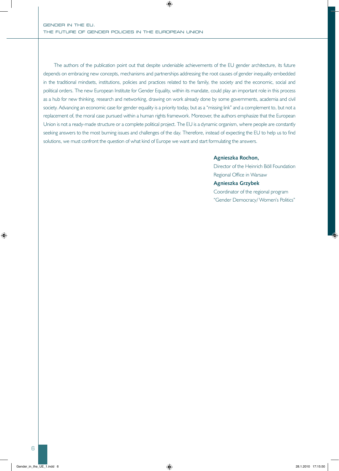The authors of the publication point out that despite undeniable achievements of the EU gender architecture, its future depends on embracing new concepts, mechanisms and partnerships addressing the root causes of gender inequality embedded in the traditional mindsets, institutions, policies and practices related to the family, the society and the economic, social and political orders. The new European Institute for Gender Equality, within its mandate, could play an important role in this process as a hub for new thinking, research and networking, drawing on work already done by some governments, academia and civil society. Advancing an economic case for gender equality is a priority today, but as a "missing link" and a complement to, but not a replacement of, the moral case pursued within a human rights framework. Moreover, the authors emphasize that the European Union is not a ready-made structure or a complete political project. The EU is a dynamic organism, where people are constantly seeking answers to the most burning issues and challenges of the day. Therefore, instead of expecting the EU to help us to find solutions, we must confront the question of what kind of Europe we want and start formulating the answers.

#### **Agnieszka Rochon,**

Director of the Heinrich Böll Foundation Regional Office in Warsaw **Agnieszka Grzybek** Coordinator of the regional program "Gender Democracy/ Women's Politics"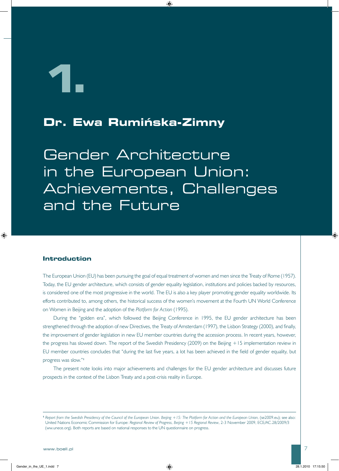**1.**

## **Dr. Ewa Rumińska-Zimny**

Gender Architecture in the European Union: Achievements, Challenges and the Future

#### **Introduction**

The European Union (EU) has been pursuing the goal of equal treatment of women and men since the Treaty of Rome (1957). Today, the EU gender architecture, which consists of gender equality legislation, institutions and policies backed by resources, is considered one of the most progressive in the world. The EU is also a key player promoting gender equality worldwide. Its efforts contributed to, among others, the historical success of the women's movement at the Fourth UN World Conference on Women in Beijing and the adoption of the *Platform for Action* (1995).

During the "golden era", which followed the Beijing Conference in 1995, the EU gender architecture has been strengthened through the adoption of new Directives, the Treaty of Amsterdam (1997), the Lisbon Strategy (2000), and finally, the improvement of gender legislation in new EU member countries during the accession process. In recent years, however, the progress has slowed down. The report of the Swedish Presidency (2009) on the Beijing +15 implementation review in EU member countries concludes that "during the last five years, a lot has been achieved in the field of gender equality, but progress was slow."**<sup>1</sup>**

The present note looks into major achievements and challenges for the EU gender architecture and discusses future prospects in the context of the Lisbon Treaty and a post-crisis reality in Europe.

**<sup>1</sup>** *Report from the Swedish Presidency of the Council of the European Union. Beijing +15: The Platform for Action and the European Union,* (se2009.eu); see also: United Nations Economic Commission for Europe: *Regional Review of Progress, Beijing +15 Regional Review*, 2-3 November 2009, ECE/AC.28/2009/3 (ww.unece.org). Both reports are based on national responses to the UN questionnaire on progress.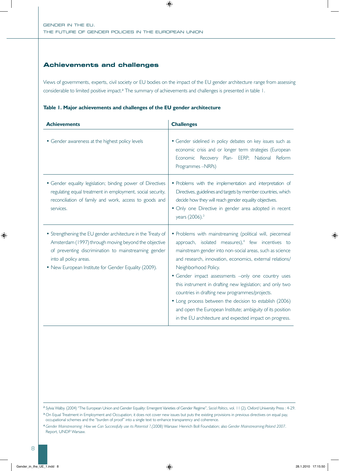#### **Achievements and challenges**

Views of governments, experts, civil society or EU bodies on the impact of the EU gender architecture range from assessing considerable to limited positive impact.**2** The summary of achievements and challenges is presented in table 1.**<sup>3</sup> <sup>4</sup>**

|  |  |  |  |  | Table 1. Major achievements and challenges of the EU gender architecture |
|--|--|--|--|--|--------------------------------------------------------------------------|
|--|--|--|--|--|--------------------------------------------------------------------------|

| <b>Achievements</b>                                                                                                                                                                                                                                           | <b>Challenges</b>                                                                                                                                                                                                                                                                                                                                                                                                                                                                                                                                                                                                                 |  |  |
|---------------------------------------------------------------------------------------------------------------------------------------------------------------------------------------------------------------------------------------------------------------|-----------------------------------------------------------------------------------------------------------------------------------------------------------------------------------------------------------------------------------------------------------------------------------------------------------------------------------------------------------------------------------------------------------------------------------------------------------------------------------------------------------------------------------------------------------------------------------------------------------------------------------|--|--|
| • Gender awareness at the highest policy levels                                                                                                                                                                                                               | · Gender sidelined in policy debates on key issues such as<br>economic crisis and or longer term strategies (European<br>Economic Recovery Plan- EERP; National Reform<br>Programmes -NRPs)                                                                                                                                                                                                                                                                                                                                                                                                                                       |  |  |
| • Gender equality legislation; binding power of Directives<br>regulating equal treatment in employment, social security,<br>reconciliation of family and work, access to goods and<br>services.                                                               | · Problems with the implementation and interpretation of<br>Directives, guidelines and targets by member countries, which<br>decide how they will reach gender equality objectives.<br>· Only one Directive in gender area adopted in recent<br>years (2006). <sup>3</sup>                                                                                                                                                                                                                                                                                                                                                        |  |  |
| • Strengthening the EU gender architecture in the Treaty of<br>Amsterdam (1997) through moving beyond the objective<br>of preventing discrimination to mainstreaming gender<br>into all policy areas.<br>• New European Institute for Gender Equality (2009). | • Problems with mainstreaming (political will, piecemeal<br>approach, isolated measures), <sup>4</sup> few incentives to<br>mainstream gender into non-social areas, such as science<br>and research, innovation, economics, external relations/<br>Neighborhood Policy.<br>• Gender impact assessments -only one country uses<br>this instrument in drafting new legislation; and only two<br>countries in drafting new programmes/projects.<br>• Long process between the decision to establish (2006)<br>and open the European Institute; ambiguity of its position<br>in the EU architecture and expected impact on progress. |  |  |

**<sup>2</sup>** Sylvia Walby. (2004) "The European Union and Gender Equality: Emergent Varieties of Gender Regime", *Social Politics*, vol. 11 (2), Oxford University Press : 4-29.

<sup>&</sup>lt;sup>3</sup> On Equal Treatment in Employment and Occupation; it does not cover new issues but puts the existing provisions in previous directives on equal pay, occupational schemes and the "burden of proof" into a single text to enhance transparency and coherence.

**<sup>4</sup>** *Gender Mainstreaming: How we Can Successfully use its Potential ?,(*2008) Warsaw: Henrich Boll Foundation; also *Gender Mainstreaming:Poland 2007*. Report, UNDP Warsaw.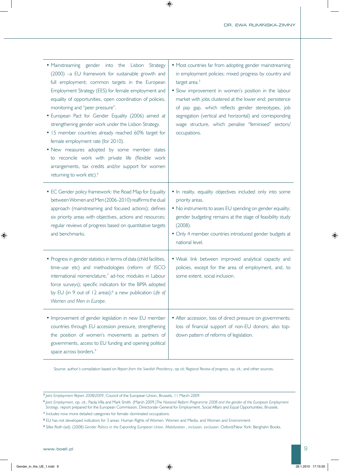| • Mainstreaming gender into the Lisbon Strategy<br>(2000) -a EU framework for sustainable growth and<br>full employment; common targets in the European<br>Employment Strategy (EES) for female employment and<br>equality of opportunities, open coordination of policies,<br>monitoring and "peer pressure".<br>· European Pact for Gender Equality (2006) aimed at<br>strengthening gender work under the Lisbon Strategy.<br>• 15 member countries already reached 60% target for<br>female employment rate (for 2010).<br>. New measures adopted by some member states<br>to reconcile work with private life (flexible work<br>arrangements, tax credits and/or support for women<br>returning to work etc). <sup>6</sup> | • Most countries far from adopting gender mainstreaming<br>in employment policies; mixed progress by country and<br>target area. <sup>5</sup><br>• Slow improvement in women's position in the labour<br>market with jobs clustered at the lower end; persistence<br>of pay gap, which reflects gender stereotypes, job<br>segregation (vertical and horizontal) and corresponding<br>wage structure, which penalise "feminised" sectors/<br>occupations. |
|---------------------------------------------------------------------------------------------------------------------------------------------------------------------------------------------------------------------------------------------------------------------------------------------------------------------------------------------------------------------------------------------------------------------------------------------------------------------------------------------------------------------------------------------------------------------------------------------------------------------------------------------------------------------------------------------------------------------------------|-----------------------------------------------------------------------------------------------------------------------------------------------------------------------------------------------------------------------------------------------------------------------------------------------------------------------------------------------------------------------------------------------------------------------------------------------------------|
| • EC Gender policy framework: the Road Map for Equality<br>between Women and Men (2006-2010) reaffirms the dual<br>approach (mainstreaming and focused actions); defines<br>six priority areas with objectives, actions and resources;<br>regular reviews of progress based on quantitative targets<br>and benchmarks.                                                                                                                                                                                                                                                                                                                                                                                                          | . In reality, equality objectives included only into some<br>priority areas.<br>• No instruments to asses EU spending on gender equality;<br>gender budgeting remains at the stage of feasibility study<br>(2008).<br>• Only 4 member countries introduced gender budgets at<br>national level.                                                                                                                                                           |
| • Progress in gender statistics in terms of data (child facilities,<br>time-use etc) and methodologies (reform of ISCO<br>international nomenclature, <sup>7</sup> ad-hoc modules in Labour<br>force surveys); specific indicators for the BPfA adopted<br>by EU (in 9 out of 12 areas); <sup>8</sup> a new publication Life of<br>Women and Men in Europe.                                                                                                                                                                                                                                                                                                                                                                     | . Weak link between improved analytical capacity and<br>policies, except for the area of employment, and, to<br>some extent, social inclusion.                                                                                                                                                                                                                                                                                                            |
| • Improvement of gender legislation in new EU member<br>countries through EU accession pressure, strengthening<br>the position of women's movements as partners of<br>governments, access to EU funding and opening political<br>space across borders. <sup>9</sup>                                                                                                                                                                                                                                                                                                                                                                                                                                                             | • After accession, loss of direct pressure on governments;<br>loss of financial support of non-EU donors; also top-<br>down pattern of reforms of legislation.                                                                                                                                                                                                                                                                                            |

Source: author's compilation based on *Report from the Swedish Presidency*, op cit; *Regional Review of progress,* op. cit.; and other sources.**<sup>56789</sup>**

**<sup>5</sup>** *Joint Employment Report 2008/2009*, Council of the European Union, Brussels, 11 March 2009.

**<sup>6</sup>** *Joint Employment*, op. cit.; Paola Villa and Mark Smith*.* (March 2009*.)The National Reform Programme 2008 and the gender of the European Employment Strategy*, report prepared for the European Commission, Directorate-General for Employment, Social Affairs and Equal Opportunities, Brussels.

**<sup>7</sup>** Includes now more detailed categories for female–dominated occupations.

**<sup>8</sup>** EU has not developed indicators for 3 areas: Human Rights of Women, Women and Media, and Women and Environment.

**<sup>9</sup>** Silke Roth (ed). (2008) *Gender Politics in the Expanding European Union. Mobilization , inclusion, exclusion*. Oxford/New York: Berghahn Books.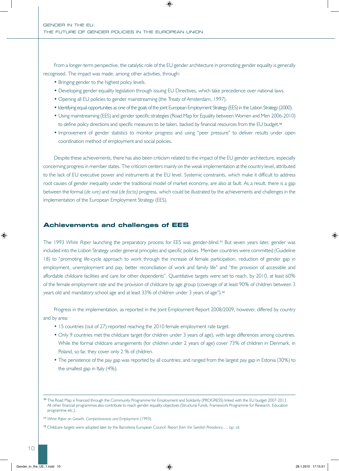From a longer-term perspective, the catalytic role of the EU gender architecture in promoting gender equality is generally recognised. The impact was made, among other activities, through:

- Bringing gender to the highest policy levels.
- Developing gender equality legislation through issuing EU Directives, which take precedence over national laws.
- Opening all EU policies to gender mainstreaming (the Treaty of Amsterdam, 1997).
- Identifying equal opportunities as one of the goals of the joint European Employment Strategy (EES) in the Lisbon Strategy (2000).
- Using mainstreaming (EES) and gender specific strategies (Road Map for Equality between Women and Men 2006-2010) to define policy directions and specific measures to be taken, backed by financial resources from the EU budget.**<sup>10</sup>**
- Improvement of gender statistics to monitor progress and using "peer pressure" to deliver results under open coordination method of employment and social policies.

Despite these achievements, there has also been criticism related to the impact of the EU gender architecture, especially concerning progress in member states. The criticism centers mainly on the weak implementation at the country level, attributed to the lack of EU executive power and instruments at the EU level. Systemic constraints, which make it difficult to address root causes of gender inequality under the traditional model of market economy, are also at fault. As a result, there is a gap between the formal (*de iure)* and real (*de facto)* progress, which could be illustrated by the achievements and challenges in the implementation of the European Employment Strategy (EES).

#### **Achievements and challenges of EES**

The 1993 *White Paper* launching the preparatory process for EES was gender-blind.**11** But seven years later, gender was included into the Lisbon Strategy under general principles and specific policies. Member countries were committed (Guideline 18) to "promoting life-cycle approach to work through the increase of female participation, reduction of gender gap in employment, unemployment and pay, better reconciliation of work and family life" and "the provision of accessible and affordable childcare facilities and care for other dependents". Quantitative targets were set to reach, by 2010, at least 60% of the female employment rate and the provision of childcare by age group (coverage of at least 90% of children between 3 years old and mandatory school age and at least 33% of children under 3 years of age").**<sup>12</sup>**

Progress in the implementation, as reported in the Joint Employment Report 2008/2009, however, differed by country and by area:

- 15 countries (out of 27) reported reaching the 2010 female employment rate target.
- Only 9 countries met the childcare target (for children under 3 years of age), with large differences among countries. While the formal childcare arrangements (for children under 2 years of age) cover 73% of children in Denmark, in Poland, so far, they cover only 2 % of children.
- The persistence of the pay gap was reported by all countries; and ranged from the largest pay gap in Estonia (30%) to the smallest gap in Italy (4%).

**<sup>10</sup>** The Road Map is financed through the Community Programme for Employment and Solidarity (PROGRESS) linked with the EU budget 2007-2013. All other financial programmes also contribute to reach gender equality objectives (Structural Funds, Framework Programme for Research, Education programme etc.).

**<sup>11</sup>** *White Paper on Growth, Competitiveness and Employment* (1993).

**<sup>12</sup>** Childcare targets were adopted later by the Barcelona European Council. *Report from the Swedish Presidency*…, op. cit.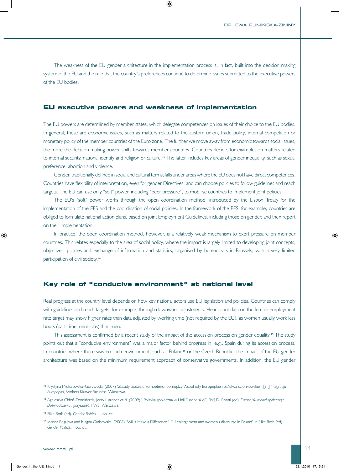The weakness of the EU gender architecture in the implementation process is, in fact, built into the decision making system of the EU and the rule that the country's preferences continue to determine issues submitted to the executive powers of the EU bodies.

#### **EU executive powers and weakness of implementation**

The EU powers are determined by member states, which delegate competences on issues of their choice to the EU bodies. In general, these are economic issues, such as matters related to the custom union, trade policy, internal competition or monetary policy of the member countries of the Euro zone. The further we move away from economic towards social issues, the more the decision making power shifts towards member countries. Countries decide, for example, on matters related to internal security, national identity and religion or culture.**13** The latter includes key areas of gender inequality, such as sexual preference, abortion and violence.

Gender, traditionally defined in social and cultural terms, falls under areas where the EU does not have direct competences. Countries have flexibility of interpretation, even for gender Directives, and can choose policies to follow guidelines and reach targets. The EU can use only "soft" power, including "peer pressure", to mobilise countries to implement joint policies.

The EU's "soft" power works through the open coordination method, introduced by the Lisbon Treaty for the implementation of the EES and the coordination of social policies. In the framework of the EES, for example, countries are obliged to formulate national action plans, based on joint Employment Guidelines, including those on gender, and then report on their implementation.

In practice, the open coordination method, however, is a relatively weak mechanism to exert pressure on member countries. This relates especially to the area of social policy, where the impact is largely limited to developing joint concepts, objectives, policies and exchange of information and statistics, organised by bureaucrats in Brussels, with a very limited participation of civil society.**<sup>14</sup>**

#### **Key role of "conducive environment" at national level**

Real progress at the country level depends on how key national actors use EU legislation and policies. Countries can comply with guidelines and reach targets, for example, through downward adjustments. Headcount data on the female employment rate target may show higher rates than data adjusted by working time (not required by the EU), as women usually work less hours (part-time, mini-jobs) than men.

This assessment is confirmed by a recent study of the impact of the accession process on gender equality.**15** The study points out that a "conducive environment" was a major factor behind progress in, e.g., Spain during its accession process. In countries where there was no such environment, such as Poland<sup>16</sup> or the Czech Republic, the impact of the EU gender architecture was based on the minimum requirement approach of conservative governments. In addition, the EU gender

**<sup>13</sup>** Krystyna Michałowska–Gorywoda. (2007) "Zasady podziału kompetencji pomiędzy Wspólnoty Europejskie i państwa członkowskie", [in:] *Integracja Europejska*, Wolters Kluwer Business, Warszawa.

**<sup>14</sup>** Agnieszka Chłoń-Domińczak, Jerzy Hausner et al. (2009) " Polityka społeczna w Unii Europejskiej", [in:] D. Rosati (ed). *Europejski model społeczny: Doświadczenia i przyszłość*. PWE, Warszawa.

**<sup>15</sup>** Silke Roth (ed). *Gender Politics* … op. cit.

**<sup>16</sup>** Joanna Regulska and Magda Grabowska. (2008) "Will it Make a Difference ? EU enlargement and women's discourse in Poland" in Silke Roth (ed). *Gender Politics*..., op. cit.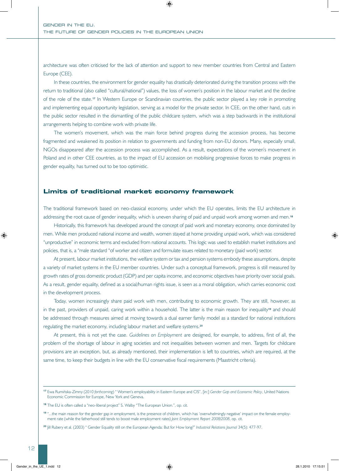architecture was often criticised for the lack of attention and support to new member countries from Central and Eastern Europe (CEE).

In these countries, the environment for gender equality has drastically deteriorated during the transition process with the return to traditional (also called "cultural/national") values, the loss of women's position in the labour market and the decline of the role of the state.**17** In Western Europe or Scandinavian countries, the public sector played a key role in promoting and implementing equal opportunity legislation, serving as a model for the private sector. In CEE, on the other hand, cuts in the public sector resulted in the dismantling of the public childcare system, which was a step backwards in the institutional arrangements helping to combine work with private life.

The women's movement, which was the main force behind progress during the accession process, has become fragmented and weakened its position in relation to governments and funding from non-EU donors. Many, especially small, NGOs disappeared after the accession process was accomplished. As a result, expectations of the women's movement in Poland and in other CEE countries, as to the impact of EU accession on mobilising progressive forces to make progress in gender equality, has turned out to be too optimistic.

#### **Limits of traditional market economy framework**

The traditional framework based on neo-classical economy, under which the EU operates, limits the EU architecture in addressing the root cause of gender inequality, which is uneven sharing of paid and unpaid work among women and men.**<sup>18</sup>**

Historically, this framework has developed around the concept of paid work and monetary economy, once dominated by men. While men produced national income and wealth, women stayed at home providing unpaid work, which was considered "unproductive" in economic terms and excluded from national accounts. This logic was used to establish market institutions and policies, that is, a "male standard "of worker and citizen and formulate issues related to monetary (paid work) sector.

At present, labour market institutions, the welfare system or tax and pension systems embody these assumptions, despite a variety of market systems in the EU member countries. Under such a conceptual framework, progress is still measured by growth rates of gross domestic product (GDP) and per capita income, and economic objectives have priority over social goals. As a result, gender equality, defined as a social/human rights issue, is seen as a moral obligation, which carries economic cost in the development process.

Today, women increasingly share paid work with men, contributing to economic growth. They are still, however, as in the past, providers of unpaid, caring work within a household. The latter is the main reason for inequality**19** and should be addressed through measures aimed at moving towards a dual earner family model as a standard for national institutions regulating the market economy, including labour market and welfare systems.**<sup>20</sup>**

At present, this is not yet the case. *Guidelines on Employment* are designed, for example, to address, first of all, the problem of the shortage of labour in aging societies and not inequalities between women and men. Targets for childcare provisions are an exception, but, as already mentioned, their implementation is left to countries, which are required, at the same time, to keep their budgets in line with the EU conservative fiscal requirements (Maastricht criteria).

**<sup>17</sup>** Ewa Rumińska-Zimny (2010 *forthcoming*) " Women's employability in Eastern Europe and CIS", [in:] *Gender Gap and Economic Policy*, United Nations Economic Commission for Europe, New York and Geneva.

**<sup>18</sup>** The EU is often called a "neo-liberal project" S. Walby "The European Union.", op. cit.

**<sup>19</sup>** "...the main reason for the gender gap in employment, is the presence of children, which has 'overwhelmingly negative' impact on the female employment rate (while the fatherhood still tends to boost male employment rates) *Joint Employment Report 2008/2008*, op. cit.

**<sup>20</sup>** Jill Rubery et al. (2003) " Gender Equality still on the European Agenda: But for How long?" *Industrial Relations Journal* 34(5): 477-97.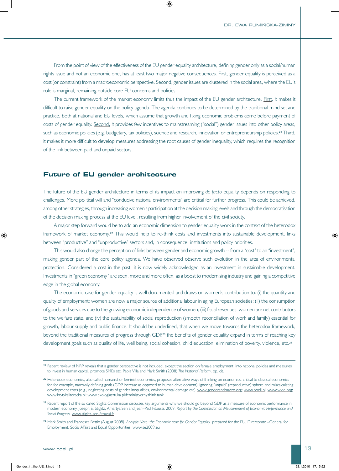From the point of view of the effectiveness of the EU gender equality architecture, defining gender only as a social/human rights issue and not an economic one, has at least two major negative consequences. First, gender equality is perceived as a cost (or constraint) from a macroeconomic perspective. Second, gender issues are clustered in the social area, where the EU's role is marginal, remaining outside core EU concerns and policies.

The current framework of the market economy limits thus the impact of the EU gender architecture. First, it makes it difficult to raise gender equality on the policy agenda. The agenda continues to be determined by the traditional mind set and practice, both at national and EU levels, which assume that growth and fixing economic problems come before payment of costs of gender equality. Second, it provides few incentives to mainstreaming ("social") gender issues into other policy areas, such as economic policies (e.g. budgetary, tax policies), science and research, innovation or entrepreneurship policies.**<sup>21</sup>** Third, it makes it more difficult to develop measures addressing the root causes of gender inequality, which requires the recognition of the link between paid and unpaid sectors.

#### **Future of EU gender architecture**

The future of the EU gender architecture in terms of its impact on improving *de facto* equality depends on responding to challenges. More political will and "conducive national environments" are critical for further progress. This could be achieved, among other strategies, through increasing women's participation at the decision making levels and through the democratisation of the decision making process at the EU level, resulting from higher involvement of the civil society.

A major step forward would be to add an economic dimension to gender equality work in the context of the heterodox framework of market economy.**22** This would help to re-think costs and investments into sustainable development, links between "productive" and "unproductive" sectors and, in consequence, institutions and policy priorities.

This would also change the perception of links between gender and economic growth -- from a "cost" to an "investment", making gender part of the core policy agenda. We have observed observe such evolution in the area of environmental protection. Considered a cost in the past, it is now widely acknowledged as an investment in sustainable development. Investments in "green economy" are seen, more and more often, as a boost to modernising industry and gaining a competitive edge in the global economy.

The economic case for gender equality is well documented and draws on women's contribution to: (i) the quantity and quality of employment: women are now a major source of additional labour in aging European societies; (ii) the consumption of goods and services due to the growing economic independence of women; (iii) fiscal revenues: women are net contributors to the welfare state, and (iv) the sustainability of social reproduction (smooth reconciliation of work and family) essential for growth, labour supply and public finance. It should be underlined, that when we move towards the heterodox framework, beyond the traditional measures of progress through GDP,**23** the benefits of gender equality expand in terms of reaching key development goals such as quality of life, well being, social cohesion, child education, elimination of poverty, violence, etc.**<sup>24</sup>**

**<sup>21</sup>** Recent review of NRP reveals that a gender perspective is not included, except the section on female employment, into national policies and measures to invest in human capital, promote SMEs etc. Paola Villa and Mark Smith (2008) *The National Reform*. op. cit.

**<sup>22</sup>** Heterodox economics, also called humanist or feminist economics, proposes alternative ways of thinking on economics, critical to classical economics for, for example, narrowly defining goals (GDP increase as opposed to human development), ignoring "unpaid" (reproductive) sphere and miscalculating development costs (e.g., neglecting costs of gender inequalities, environmental damage etc). www.genderandmacro.org; www.boell.pl; www.wide.org; www.krytykaliteracka.pl; www.ekologiasztuka.pl/feministyczny.think.tank

**<sup>23</sup>** Recent report of the so called Stiglitz Commission discusses key arguments why we should go beyond GDP as a measure of economic performance in modern economy. Joseph E. Stiglitz, Amartya Sen and Jean–Paul Fitoussi. 2009. *Report by the Commission on Measurement of Economic Performance and Social Progress,* www.stiglitz-sen-fitoussi.fr

**<sup>24</sup>** Mark Smith and Francesca Bettio (August 2008*). Analysis Note: the Economic case for Gender Equality*. prepared for the EU, Directorate –General for Employment, Social Affairs and Equal Opportunities. www.se2009.eu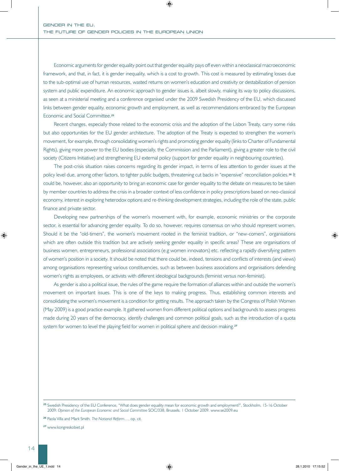Economic arguments for gender equality point out that gender equality pays off even within a neoclassical macroeconomic framework, and that, in fact, it is gender inequality, which is a cost to growth. This cost is measured by estimating losses due to the sub-optimal use of human resources, wasted returns on women's education and creativity or destabilization of pension system and public expenditure. An economic approach to gender issues is, albeit slowly, making its way to policy discussions, as seen at a ministerial meeting and a conference organised under the 2009 Swedish Presidency of the EU, which discussed links between gender equality, economic growth and employment, as well as recommendations embraced by the European Economic and Social Committee.**<sup>25</sup>**

Recent changes, especially those related to the economic crisis and the adoption of the Lisbon Treaty, carry some risks but also opportunities for the EU gender architecture. The adoption of the Treaty is expected to strengthen the women's movement, for example, through consolidating women's rights and promoting gender equality (links to Charter of Fundamental Rights), giving more power to the EU bodies (especially, the Commission and the Parliament), giving a greater role to the civil society (Citizens Initiative) and strengthening EU external policy (support for gender equality in neighbouring countries).

The post-crisis situation raises concerns regarding its gender impact, in terms of less attention to gender issues at the policy level due, among other factors, to tighter public budgets, threatening cut backs in "expensive" reconciliation policies.**26** It could be, however, also an opportunity to bring an economic case for gender equality to the debate on measures to be taken by member countries to address the crisis in a broader context of less confidence in policy prescriptions based on neo-classical economy, interest in exploring heterodox options and re-thinking development strategies, including the role of the state, public finance and private sector.

Developing new partnerships of the women's movement with, for example, economic ministries or the corporate sector, is essential for advancing gender equality. To do so, however, requires consensus on who should represent women. Should it be the "old-timers", the women's movement rooted in the feminist tradition, or "new-comers", organisations which are often outside this tradition but are actively seeking gender equality in specific areas? These are organisations of business women, entrepreneurs, professional associations (e.g women innovators) etc. reflecting a rapidly diversifying pattern of women's position in a society. It should be noted that there could be, indeed, tensions and conflicts of interests (and views) among organisations representing various constituencies, such as between business associations and organisations defending women's rights as employees, or activists with different ideological backgrounds (feminist versus non-feminist).

As gender is also a political issue, the rules of the game require the formation of alliances within and outside the women's movement on important issues. This is one of the keys to making progress. Thus, establishing common interests and consolidating the women's movement is a condition for getting results. The approach taken by the Congress of Polish Women (May 2009) is a good practice example. It gathered women from different political options and backgrounds to assess progress made during 20 years of the democracy, identify challenges and common political goals, such as the introduction of a quota system for women to level the playing field for women in political sphere and decision making.**<sup>27</sup>**

**<sup>26</sup>** Paola Villa and Mark Smith*. The National Reform…*, op. cit.

**<sup>27</sup>** www.kongreskobiet.pl

**<sup>25</sup>** Swedish Presidency of the EU Conference, "What does gender equality mean for economic growth and employment?", Stockholm, 15-16 October 2009: *Opinion of the European Economic and Social Committee* SOC/338, Brussels, 1 October 2009. www.se2009.eu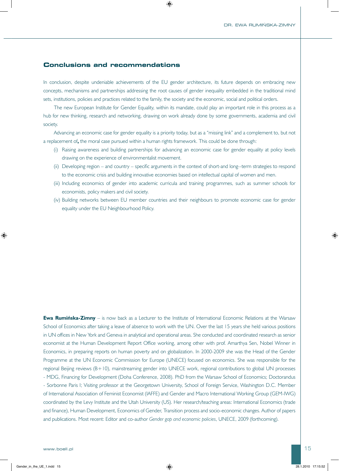#### **Conclusions and recommendations**

In conclusion, despite undeniable achievements of the EU gender architecture, its future depends on embracing new concepts, mechanisms and partnerships addressing the root causes of gender inequality embedded in the traditional mind sets, institutions, policies and practices related to the family, the society and the economic, social and political orders.

The new European Institute for Gender Equality, within its mandate, could play an important role in this process as a hub for new thinking, research and networking, drawing on work already done by some governments, academia and civil society.

Advancing an economic case for gender equality is a priority today, but as a "missing link" and a complement to, but not a replacement of**,** the moral case pursued within a human rights framework. This could be done through:

- (i) Raising awareness and building partnerships for advancing an economic case for gender equality at policy levels drawing on the experience of environmentalist movement.
- (ii) Developing region and country specific arguments in the context of short-and long--term strategies to respond to the economic crisis and building innovative economies based on intellectual capital of women and men.
- (iii) Including economics of gender into academic curricula and training programmes, such as summer schools for economists, policy makers and civil society.
- (iv) Building networks between EU member countries and their neighbours to promote economic case for gender equality under the EU Neighbourhood Policy.

**Ewa Rumińska-Zimny** – is now back as a Lecturer to the Institute of International Economic Relations at the Warsaw School of Economics after taking a leave of absence to work with the UN. Over the last 15 years she held various positions in UN offices in New York and Geneva in analytical and operational areas. She conducted and coordinated research as senior economist at the Human Development Report Office working, among other with prof. Amarthya Sen, Nobel Winner in Economics, in preparing reports on human poverty and on globalization. In 2000-2009 she was the Head of the Gender Programme at the UN Economic Commission for Europe (UNECE) focused on economics. She was responsible for the regional Beijing reviews (B+10), mainstreaming gender into UNECE work, regional contributions to global UN processes - MDG, Financing for Development (Doha Conference, 2008). PhD from the Warsaw School of Economics; Doctorandus - Sorbonne Paris I; Visiting professor at the Georgetown University, School of Foreign Service, Washington D.C. Member of International Association of Feminist Economist (IAFFE) and Gender and Macro International Working Group (GEM-IWG) coordinated by the Levy Institute and the Utah University (US). Her research/teaching areas: International Economics (trade and finance), Human Development, Economics of Gender, Transition process and socio-economic changes. Author of papers and publications. Most recent: Editor and co-author *Gender gap and economic policies*, UNECE, 2009 (forthcoming).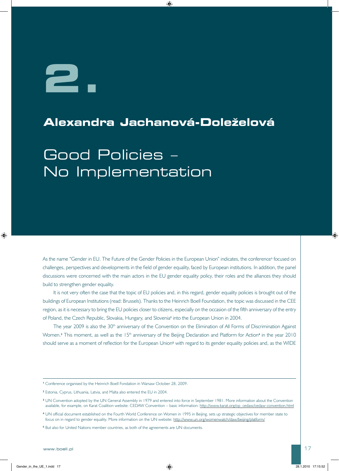# **2.**

## **Alexandra Jachanová-Doleželová**

## Good Policies – No Implementation

As the name "Gender in EU. The Future of the Gender Policies in the European Union" indicates, the conference**1** focused on challenges, perspectives and developments in the field of gender equality, faced by European institutions. In addition, the panel discussions were concerned with the main actors in the EU gender equality policy, their roles and the alliances they should build to strengthen gender equality.

It is not very often the case that the topic of EU policies and, in this regard, gender equality policies is brought out of the buildings of European Institutions (read: Brussels). Thanks to the Heinrich Boell Foundation, the topic was discussed in the CEE region, as it is necessary to bring the EU policies closer to citizens, especially on the occasion of the fifth anniversary of the entry of Poland, the Czech Republic, Slovakia, Hungary, and Slovenia**2** into the European Union in 2004.

The year 2009 is also the 30<sup>th</sup> anniversary of the Convention on the Elimination of All Forms of Discrimination Against Women.<sup>3</sup> This moment, as well as the 15<sup>th</sup> anniversary of the Beijing Declaration and Platform for Action<sup>4</sup> in the year 2010 should serve as a moment of reflection for the European Union**5** with regard to its gender equality policies and, as the WIDE

**<sup>1</sup>** Conference organised by the Heinrich Boell Fondation in Warsaw October 28, 2009.

**<sup>2</sup>** Estonia, Cyprus, Lithuania, Latvia, and Malta also entered the EU in 2004.

**<sup>3</sup>** UN Convention adopted by the UN General Assembly in 1979 and entered into force in September 1981. More information about the Convention available, for example, on Karat Coalition website: CEDAW Convention – basic information: http://www.karat.org/op\_cedaw/cedaw-convention.html

**<sup>4</sup>** UN official document established on the Fourth World Conference on Women in 1995 in Beijing, sets up strategic objectives for member state to focus on in regard to gender equality. More information on the UN website: http://www.un.org/womenwatch/daw/beijing/platform/

**<sup>5</sup>** But also for United Nations member countries, as both of the agreements are UN documents.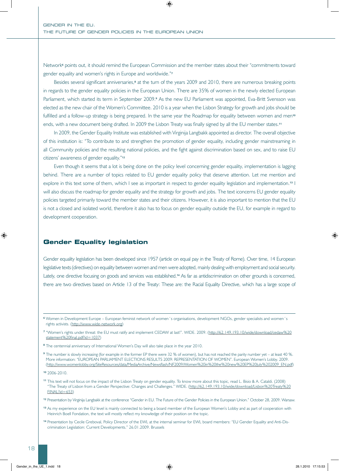Network**6** points out, it should remind the European Commission and the member states about their "commitments toward gender equality and women's rights in Europe and worldwide."**<sup>7</sup>**

Besides several significant anniversaries,**8** at the turn of the years 2009 and 2010, there are numerous breaking points in regards to the gender equality policies in the European Union. There are 35% of women in the newly elected European Parliament, which started its term in September 2009.**9** As the new EU Parliament was appointed, Eva-Britt Svensson was elected as the new chair of the Women's Committee. 2010 is a year when the Lisbon Strategy for growth and jobs should be fulfilled and a follow-up strategy is being prepared. In the same year the Roadmap for equality between women and men**<sup>10</sup>** ends, with a new document being drafted. In 2009 the Lisbon Treaty was finally signed by all the EU member states.**<sup>11</sup>**

In 2009, the Gender Equality Institute was established with Virginija Langbakk appointed as director. The overall objective of this institution is: "To contribute to and strengthen the promotion of gender equality, including gender mainstreaming in all Community policies and the resulting national policies, and the fight against discrimination based on sex, and to raise EU citizens' awareness of gender equality."**<sup>12</sup>**

Even though it seems that a lot is being done on the policy level concerning gender equality, implementation is lagging behind. There are a number of topics related to EU gender equality policy that deserve attention. Let me mention and explore in this text some of them, which I see as important in respect to gender equality legislation and implementation.**13** I will also discuss the roadmap for gender equality and the strategy for growth and jobs. The text iconcerns EU gender equality policies targeted primarily toward the member states and their citizens. However, it is also important to mention that the EU is not a closed and isolated world, therefore it also has to focus on gender equality outside the EU, for example in regard to development cooperation.

#### **Gender Equality legislation**

Gender equality legislation has been developed since 1957 (article on equal pay in the Treaty of Rome). Over time, 14 European legislative texts (directives) on equality between women and men were adopted, mainly dealing with employment and social security. Lately, one directive focusing on goods and services was established.**14** As far as antidiscrimination on other grounds is concerned, there are two directives based on Article 13 of the Treaty: These are: the Racial Equality Directive, which has a large scope of

**<sup>8</sup>** The centennial anniversary of International Women's Day will also take place in the year 2010.

- **<sup>13</sup>** As my experience on the EU level is mainly connected to being a board member of the European Women's Lobby and as part of cooperation with Heinrich Boell Fondation, the text will mostly reflect my knowledge of their position on the topic.
- **<sup>14</sup>** Presentation by Cecile Greboval, Policy Director of the EWL at the internal seminar for EWL board members: "EU Gender Equality and Anti-Discrimination Legislation: Current Developments." 26.01.2009. Brussels

**<sup>6</sup>** Women in Development Europe – European feminist network of women´s organisations, development NGOs, gender specialists and women´s rights activists. (http://www.wide-network.org)

**<sup>7</sup>** "Women's rights under threat: the EU must ratify and implement CEDAW at last!". WIDE. 2009. (http://62.149.193.10/wide/download/cedaw%20 statement%20final.pdf?id=1037)

**<sup>9</sup>** The number is slowly increasing (for example in the former EP there were 32 % of women), but has not reached the parity number yet – at least 40 %. More information: "EUROPEAN PARLIAMENT ELECTIONS RESULTS 2009: REPRESENTATION OF WOMEN". European Women's Lobby. 2009. (http://www.womenlobby.org/SiteResources/data/MediaArchive/Newsflash/NF2009/Women%20in%20the%20new%20EP%20July%202009\_EN.pdf)

**<sup>10</sup>** 2006-2010.

**<sup>11</sup>** This text will not focus on the impact of the Lisbon Treaty on gender equality. To know more about this topic, read L. Bisio & A. Cataldi. (2008) "The Treaty of Lisbon from a Gender Perspective: Changes and Challenges." WIDE. (http://62.149.193.10/wide/download/Lisbon%20Treaty%20  $FINAL?id = 653$ 

**<sup>12</sup>** Presentation by Virginija Langbakk at the conference "Gender in EU. The Future of the Gender Policies in the European Union." October 28, 2009. Warsaw.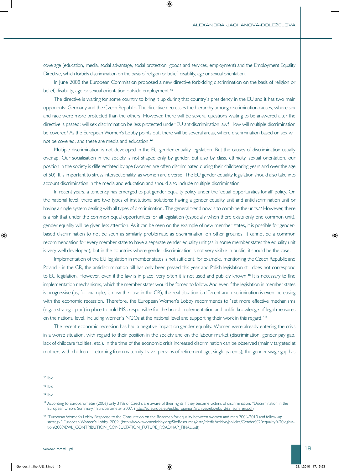coverage (education, media, social advantage, social protection, goods and services, employment) and the Employment Equality Directive, which forbids discrimination on the basis of religion or belief, disability, age or sexual orientation.

In June 2008 the European Commission proposed a new directive forbidding discrimination on the basis of religion or belief, disability, age or sexual orientation outside employment.**<sup>15</sup>**

The directive is waiting for some country to bring it up during that country's presidency in the EU and it has two main opponents: Germany and the Czech Republic. The directive decreases the hierarchy among discrimination causes, where sex and race were more protected than the others. However, there will be several questions waiting to be answered after the directive is passed: will sex discrimination be less protected under EU antidiscrimination law? How will multiple discrimination be covered? As the European Women's Lobby points out, there will be several areas, where discrimination based on sex will not be covered, and these are media and education.**<sup>16</sup>**

Multiple discrimination is not developed in the EU gender equality legislation. But the causes of discrimination usually overlap. Our socialisation in the society is not shaped only by gender, but also by class, ethnicity, sexual orientation, our position in the society is differentiated by age (women are often discriminated during their childbearing years and over the age of 50). It is important to stress intersectionality, as women are diverse. The EU gender equality legislation should also take into account discrimination in the media and education and should also include multiple discrimination.

In recent years, a tendency has emerged to put gender equality policy under the 'equal opportunities for all' policy. On the national level, there are two types of institutional solutions: having a gender equality unit and antidiscrimination unit or having a single system dealing with all types of discrimination. The general trend now is to combine the units.**17** However, there is a risk that under the common equal opportunities for all legislation (especially when there exists only one common unit), gender equality will be given less attention. As it can be seen on the example of new member states, it is possible for genderbased discrimination to not be seen as similarly problematic as discrimination on other grounds. It cannot be a common recommendation for every member state to have a separate gender equality unit (as in some member states the equality unit is very well developed), but in the countries where gender discrimination is not very visible in public, it should be the case.

Implementation of the EU legislation in member states is not sufficient, for example, mentioning the Czech Republic and Poland - in the CR, the antidiscrimination bill has only been passed this year and Polish legislation still does not correspond to EU legislation. However, even if the law is in place, very often it is not used and publicly known.**18** It is necessary to find implementation mechanisms, which the member states would be forced to follow. And even if the legislation in member states is progressive (as, for example, is now the case in the CR), the real situation is different and discrimination is even increasing with the economic recession. Therefore, the European Women's Lobby recommends to "set more effective mechanisms (e.g. a strategic plan) in place to hold MSs responsible for the broad implementation and public knowledge of legal measures on the national level, including women's NGOs at the national level and supporting their work in this regard."**<sup>19</sup>**

The recent economic recession has had a negative impact on gender equality. Women were already entering the crisis in a worse situation, with regard to their position in the society and on the labour market (discrimination, gender pay gap, lack of childcare facilities, etc.). In the time of the economic crisis increased discrimination can be observed (mainly targeted at mothers with children – returning from maternity leave, persons of retirement age, single parents); the gender wage gap has

**<sup>15</sup>** Ibid.

**<sup>16</sup>** Ibid.

**<sup>17</sup>** Ibid.

**<sup>18</sup>** According to Eurobarometer (2006) only 31% of Czechs are aware of their rights if they become victims of discrimination. "Discrimination in the European Union: Summary." Eurobarometer 2007. (http://ec.europa.eu/public\_opinion/archives/ebs/ebs 263\_sum\_en.pdf)

**<sup>19</sup>** "European Women's Lobby Response to the Consultation on the Roadmap for equality between women and men 2006-2010 and follow-up strategy." European Women's Lobby. 2009. (http://www.womenlobby.org/SiteResources/data/MediaArchive/policies/Gender%20equality%20legislation/2009/EWL\_CONTRIBUTION\_CONSULTATION\_FUTURE\_ROADMAP\_FINAL.pdf)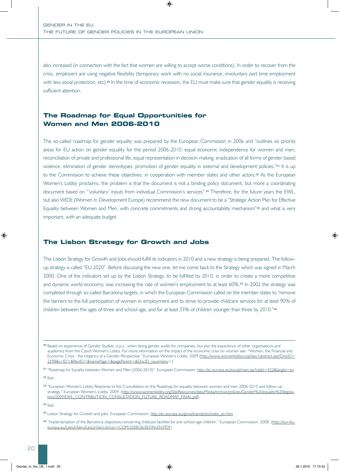also increased (in connection with the fact that women are willing to accept worse conditions). In order to recover from the crisis, employers are using negative flexibility (temporary work with no social insurance, involuntary part time employment with less social protection, etc).**20** In the time of economic recession, the EU must make sure that gender equality is receiving sufficient attention.

#### **The Roadmap for Equal Opportunities for Women and Men 2006-2010**

The so-called roadmap for gender equality was prepared by the European Commission in 2006 and "outlines six priority areas for EU action on gender equality for the period 2006-2010: equal economic independence for women and men, reconciliation of private and professional life, equal representation in decision-making, eradication of all forms of gender-based violence, elimination of gender stereotypes, promotion of gender equality in external and development policies."**21** It is up to the Commission to achieve these objectives, in cooperation with member states and other actors.**22** As the European Women's Lobby proclaims, the problem is that the document is not a binding policy document, but more a coordinating document based on "'voluntary' inputs from individual Commission's services".**23** Therefore, for the future years the EWL, but also WIDE (Women In Development Europe) recommend the new document to be a "Strategic Action Plan for Effective Equality between Women and Men, with concrete commitments and strong accountability mechanism"**24** and what is very important, with an adequate budget.

#### **The Lisbon Strategy for Growth and Jobs**

The Lisbon Strategy for Growth and Jobs should fulfill its indicators in 2010 and a new strategy is being prepared. The followup strategy is called "EU 2020". Before discussing the new one, let me come back to the Strategy which was signed in March 2000. One of the indicators set up by the Lisbon Strategy, to be fulfilled by 2010, in order to create a more competitive and dynamic world economy, was increasing the rate of women's employment to at least 60%.**25** In 2002 the strategy was completed through so-called Barcelona targets, in which the European Commission called on the member states to "remove the barriers to the full participation of women in employment and to strive to provide childcare services for at least 90% of children between the ages of three and school age, and for at least 33% of children younger than three by 2010."**<sup>26</sup>**

**<sup>20</sup>** Based on experience of Gender Studies, o.p.s., when doing gender audits for companies, but also the experience of other organisations and academics from the Czech Women's Lobby. For more information on the impact of the economic crisis on women see: "Women, the Financial and Economic Crisis - the Urgency of a Gender Perspective." European Women's Lobby. 2009 (http://www.womenlobby.org/site/1abstract.asp?DocID= 2598&v1ID=&RevID=&namePage=&pageParent=&DocID\_sousmenu=)

**<sup>21</sup>** "Roadmap for Equality between Women and Men (2006-2010)". European Commission: http://ec.europa.eu/social/main.jsp?catId=422&langId=en

**<sup>22</sup>** Ibid.

**<sup>23</sup>** "European Women's Lobby Response to the Consultation on the Roadmap for equality between women and men 2006-2010 and follow-up strategy." European Women's Lobby. 2009. (http://www.womenlobby.org/SiteResources/data/MediaArchive/policies/Gender%20equality%20legislation/2009/EWL\_CONTRIBUTION\_CONSULTATION\_FUTURE\_ROADMAP\_FINAL.pdf)

**<sup>24</sup>** Ibid.

**<sup>25</sup>** Lisbon Strategy for Growth and Jobs. European Commission: http://ec.europa.eu/growthandjobs/index\_en.htm

**<sup>26</sup>** "Implementation of the Barcelona objectives concerning childcare facilities for pre-school-age children." European Commission. 2008. (http://eur-lex. europa.eu/LexUriServ/LexUriServ.do?uri=COM:2008:0638:FIN:EN:PDF)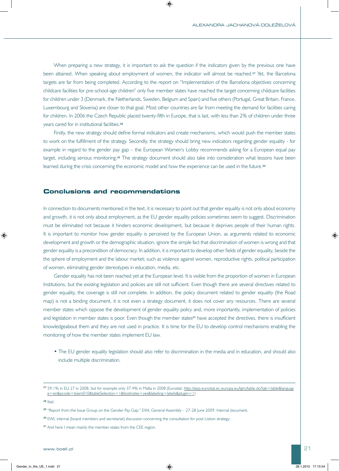When preparing a new strategy, it is important to ask the question if the indicators given by the previous one have been attained. When speaking about employment of women, the indicator will almost be reached.**27** Yet, the Barcelona targets are far from being completed. According to the report on "Implementation of the Barcelona objectives concerning childcare facilities for pre-school-age children" only five member states have reached the target concerning childcare facilities for children under 3 (Denmark, the Netherlands, Sweden, Belgium and Spain) and five others (Portugal, Great Britain, France, Luxembourg and Slovenia) are closer to that goal. Most other countries are far from meeting the demand for facilities caring for children. In 2006 the Czech Republic placed twenty-fifth in Europe, that is last, with less than 2% of children under three years cared for in institutional facilities.**<sup>28</sup>**

Firstly, the new strategy should define formal indicators and create mechanisms, which would push the member states to work on the fulfillment of the strategy. Secondly, the strategy should bring new indicators regarding gender equality - for example in regard to the gender pay gap – the European Women's Lobby recommends asking for a European equal pay target, including serious monitoring.**29** The strategy document should also take into consideration what lessons have been learned during the crisis concerning the economic model and how the experience can be used in the future.**<sup>30</sup>**

#### **Conclusions and recommendations**

In connection to documents mentioned in the text, it is necessary to point out that gender equality is not only about economy and growth, it is not only about employment, as the EU gender equality policies sometimes seem to suggest. Discrimination must be eliminated not because it hinders economic development, but because it deprives people of their human rights. It is important to monitor how gender equality is perceived by the European Union, as arguments related to economic development and growth or the demographic situation, ignore the simple fact that discrimination of women is wrong and that gender equality is a precondition of democracy. In addition, it is important to develop other fields of gender equality, beside the the sphere of employment and the labour market; such as violence against women, reproductive rights, political participation of women, eliminating gender stereotypes in education, media, etc.

Gender equality has not been reached yet at the European level. It is visible from the proportion of women in European Institutions, but the existing legislation and policies are still not sufficient. Even though there are several directives related to gender equality, the coverage is still not complete. In addition, the policy document related to gender equality (the Road map) is not a binding document, it is not even a strategy document, it does not cover any resources. There are several member states which oppose the development of gender equality policy and, more importantly, implementation of policies and legislation in member states is poor. Even though the member states**31** have accepted the directives, there is insufficient knowledgeabout them and they are not used in practice. It is time for the EU to develop control mechanisms enabling the monitoring of how the member states implement EU law.

• The EU gender equality legislation should also refer to discrimination in the media and in education, and should also include multiple discrimination.

**<sup>28</sup>** Ibid.

**<sup>27</sup>** 59.1% in EU 27 in 2008, but for example only 37.4% in Malta in 2008 (Eurostat: http://epp.eurostat.ec.europa.eu/tgm/table.do?tab=table&languag e=en&pcode=tsiem010&tableSelection=1&footnotes=yes&labeling=labels&plugin=1)

**<sup>29</sup>** "Report from the Issue Group on the Gender Pay Gap." EWL General Assembly – 27-28 June 2009. Internal document.

**<sup>30</sup>** EWL internal (board members and secretariat) discussion concerning the consultation for post-Lisbon strategy.

**<sup>31</sup>** And here I mean mainly the member states from the CEE region.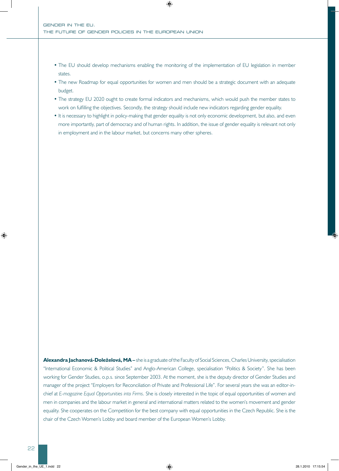- The EU should develop mechanisms enabling the monitoring of the implementation of EU legislation in member states.
- The new Roadmap for equal opportunities for women and men should be a strategic document with an adequate budget.
- The strategy EU 2020 ought to create formal indicators and mechanisms, which would push the member states to work on fulfilling the objectives. Secondly, the strategy should include new indicators regarding gender equality.
- It is necessary to highlight in policy-making that gender equality is not only economic development, but also, and even more importantly, part of democracy and of human rights. In addition, the issue of gender equality is relevant not only in employment and in the labour market, but concerns many other spheres.

**Alexandra Jachanová-Doleželová, MA –** she is a graduate of the Faculty of Social Sciences, Charles University, specialisation "International Economic & Political Studies" and Anglo-American College, specialisation "Politics & Society". She has been working for Gender Studies, o.p.s. since September 2003. At the moment, she is the deputy director of Gender Studies and manager of the project "Employers for Reconciliation of Private and Professional Life". For several years she was an editor-inchief at *E-magazine Equal Opportunities into Firms*. She is closely interested in the topic of equal opportunities of women and men in companies and the labour market in general and international matters related to the women's movement and gender equality. She cooperates on the Competition for the best company with equal opportunities in the Czech Republic. She is the chair of the Czech Women's Lobby and board member of the European Women's Lobby.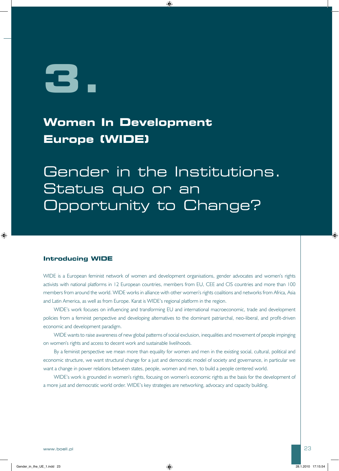**3.**

## **Women In Development Europe (WIDE)**

Gender in the Institutions. Status quo or an Opportunity to Change?

#### **Introducing WIDE**

WIDE is a European feminist network of women and development organisations, gender advocates and women's rights activists with national platforms in 12 European countries, members from EU, CEE and CIS countries and more than 100 members from around the world. WIDE works in alliance with other women's rights coalitions and networks from Africa, Asia and Latin America, as well as from Europe. Karat is WIDE's regional platform in the region.

WIDE's work focuses on influencing and transforming EU and international macroeconomic, trade and development policies from a feminist perspective and developing alternatives to the dominant patriarchal, neo-liberal, and profit-driven economic and development paradigm.

WIDE wants to raise awareness of new global patterns of social exclusion, inequalities and movement of people impinging on women's rights and access to decent work and sustainable livelihoods.

By a feminist perspective we mean more than equality for women and men in the existing social, cultural, political and economic structure, we want structural change for a just and democratic model of society and governance, in particular we want a change in power relations between states, people, women and men, to build a people centered world.

WIDE's work is grounded in women's rights, focusing on women's economic rights as the basis for the development of a more just and democratic world order. WIDE's key strategies are networking, advocacy and capacity building.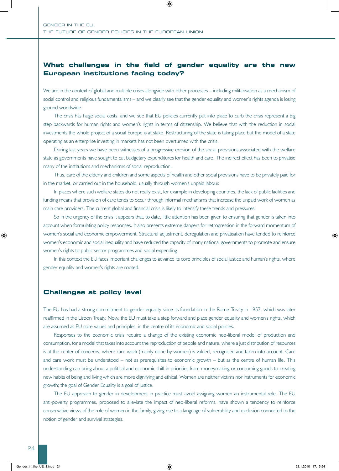#### **What challenges in the field of gender equality are the new European institutions facing today?**

We are in the context of global and multiple crises alongside with other processes – including militarisation as a mechanism of social control and religious fundamentalisms – and we clearly see that the gender equality and women's rights agenda is losing ground worldwide.

The crisis has huge social costs, and we see that EU policies currently put into place to curb the crisis represent a big step backwards for human rights and women's rights in terms of citizenship. We believe that with the reduction in social investments the whole project of a social Europe is at stake. Restructuring of the state is taking place but the model of a state operating as an enterprise investing in markets has not been overturned with the crisis.

During last years we have been witnesses of a progressive erosion of the social provisions associated with the welfare state as governments have sought to cut budgetary expenditures for health and care. The indirect effect has been to privatise many of the institutions and mechanisms of social reproduction.

Thus, care of the elderly and children and some aspects of health and other social provisions have to be privately paid for in the market, or carried out in the household, usually through women's unpaid labour.

In places where such welfare states do not really exist, for example in developing countries, the lack of public facilities and funding means that provision of care tends to occur through informal mechanisms that increase the unpaid work of women as main care providers. The current global and financial crisis is likely to intensify these trends and pressures.

So in the urgency of the crisis it appears that, to date, little attention has been given to ensuring that gender is taken into account when formulating policy responses. It also presents extreme dangers for retrogression in the forward momentum of women's social and economic empowerment. Structural adjustment, deregulation and privatisation have tended to reinforce women's economic and social inequality and have reduced the capacity of many national governments to promote and ensure women's rights to public sector programmes and social expending

In this context the EU faces important challenges to advance its core principles of social justice and human's rights, where gender equality and women's rights are rooted.

#### **Challenges at policy level**

The EU has had a strong commitment to gender equality since its foundation in the Rome Treaty in 1957, which was later reaffirmed in the Lisbon Treaty. Now, the EU must take a step forward and place gender equality and women's rights, which are assumed as EU core values and principles, in the centre of its economic and social policies.

Responses to the economic crisis require a change of the existing economic neo-liberal model of production and consumption, for a model that takes into account the reproduction of people and nature, where a just distribution of resources is at the center of concerns, where care work (mainly done by women) is valued, recognised and taken into account. Care and care work must be understood – not as prerequisites to economic growth – but as the centre of human life. This understanding can bring about a political and economic shift in priorities from moneymaking or consuming goods to creating new habits of being and living which are more dignifying and ethical. Women are neither victims nor instruments for economic growth; the goal of Gender Equality is a goal of justice.

The EU approach to gender in development in practice must avoid assigning women an instrumental role. The EU anti-poverty programmes, proposed to alleviate the impact of neo-liberal reforms, have shown a tendency to reinforce conservative views of the role of women in the family, giving rise to a language of vulnerability and exclusion connected to the notion of gender and survival strategies.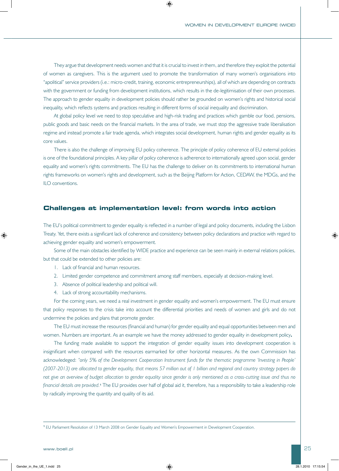They argue that development needs women and that it is crucial to invest in them, and therefore they exploit the potential of women as caregivers. This is the argument used to promote the transformation of many women's organisations into "apolitical" service providers (i.e.: micro-credit, training, economic entrepreneurships), all of which are depending on contracts with the government or funding from development institutions, which results in the de-legitimisation of their own processes. The approach to gender equality in development policies should rather be grounded on women's rights and historical social inequality, which reflects systems and practices resulting in different forms of social inequality and discrimination.

At global policy level we need to stop speculative and high-risk trading and practices which gamble our food, pensions, public goods and basic needs on the financial markets. In the area of trade, we must stop the aggressive trade liberalisation regime and instead promote a fair trade agenda, which integrates social development, human rights and gender equality as its core values.

There is also the challenge of improving EU policy coherence. The principle of policy coherence of EU external policies is one of the foundational principles. A key pillar of policy coherence is adherence to internationally agreed upon social, gender equality and women's rights commitments. The EU has the challenge to deliver on its commitments to international human rights frameworks on women's rights and development, such as the Beijing Platform for Action, CEDAW, the MDGs, and the ILO conventions.

#### **Challenges at implementation level: from words into action**

The EU's political commitment to gender equality is reflected in a number of legal and policy documents, including the Lisbon Treaty. Yet, there exists a significant lack of coherence and consistency between policy declarations and practice with regard to achieving gender equality and women's empowerment.

Some of the main obstacles identified by WIDE practice and experience can be seen mainly in external relations policies, but that could be extended to other policies are:

- 1. Lack of financial and human resources.
- 2. Limited gender competence and commitment among staff members, especially at decision-making level.
- 3. Absence of political leadership and political will.
- 4. Lack of strong accountability mechanisms.

For the coming years, we need a real investment in gender equality and women's empowerment. The EU must ensure that policy responses to the crisis take into account the differential priorities and needs of women and girls and do not undermine the policies and plans that promote gender.

The EU must increase the resources (financial and human) for gender equality and equal opportunities between men and women. Numbers are important. As an example we have the money addressed to gender equality in development policy**.** 

The funding made available to support the integration of gender equality issues into development cooperation is insignificant when compared with the resources earmarked for other horizontal measures. As the own Commission has acknowledeged: *"only 5% of the Development Cooperation Instrument funds for the thematic programme 'Investing in People' (2007-2013) are allocated to gender equality, that means 57 million out of 1 billion and regional and country strategy papers do not give an overview of budget allocation to gender equality since gender is only mentioned as a cross-cutting issue and thus no financial details are provided.***1** The EU provides over half of global aid it, therefore, has a responsibility to take a leadership role by radically improving the quantity and quality of its aid.

**<sup>1</sup>** EU Parliament Resolution of 13 March 2008 on Gender Equality and Women's Empowerment in Development Cooperation.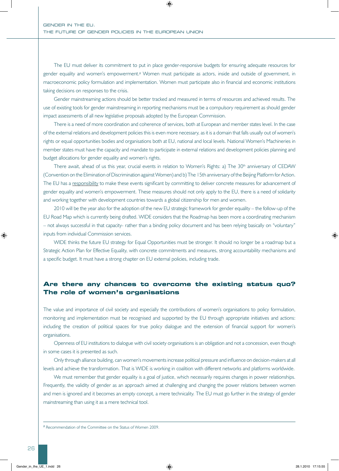The EU must deliver its commitment to put in place gender-responsive budgets for ensuring adequate resources for gender equality and women's empowerment.**2** Women must participate as actors, inside and outside of government, in macroeconomic policy formulation and implementation. Women must participate also in financial and economic institutions taking decisions on responses to the crisis.

Gender mainstreaming actions should be better tracked and measured in terms of resources and achieved results. The use of existing tools for gender mainstreaming in reporting mechanisms must be a compulsory requirement as should gender impact assessments of all new legislative proposals adopted by the European Commission.

There is a need of more coordination and coherence of services, both at European and member states level. In the case of the external relations and development policies this is even more necessary, as it is a domain that falls usually out of women's rights or equal opportunities bodies and organisations both at EU, national and local levels. National Women's Machineries in member states must have the capacity and mandate to participate in external relations and development policies planning and budget allocations for gender equality and women's rights.

There await, ahead of us this year, crucial events in relation to Women's Rights: a) The 30<sup>th</sup> anniversary of CEDAW (Convention on the Elimination of Discrimination against Women) and b) The 15th anniversary of the Beijing Platform for Action. The EU has a responsibility to make these events significant by committing to deliver concrete measures for advancement of gender equality and women's empowerment. These measures should not only apply to the EU, there is a need of solidarity and working together with development countries towards a global citizenship for men and women.

2010 will be the year also for the adoption of the new EU strategic framework for gender equality – the follow-up of the EU Road Map which is currently being drafted. WIDE considers that the Roadmap has been more a coordinating mechanism – not always successful in that capacity- rather than a binding policy document and has been relying basically on "voluntary" inputs from individual Commission services.

WIDE thinks the future EU strategy for Equal Opportunities must be stronger. It should no longer be a roadmap but a Strategic Action Plan for Effective Equality, with concrete commitments and measures, strong accountability mechanisms and a specific budget. It must have a strong chapter on EU external policies, including trade.

#### **Are there any chances to overcome the existing status quo? The role of women's organisations**

The value and importance of civil society and especially the contributions of women's organisations to policy formulation, monitoring and implementation must be recognised and supported by the EU through appropriate initiatives and actions: including the creation of political spaces for true policy dialogue and the extension of financial support for women's organisations.

Openness of EU institutions to dialogue with civil society organisations is an obligation and not a concession, even though in some cases it is presented as such.

Only through alliance building, can women's movements increase political pressure and influence on decision-makers at all levels and achieve the transformation. That is WIDE is working in coalition with different networks and platforms worldwide.

We must remember that gender equality is a goal of justice, which necessarily requires changes in power relationships. Frequently, the validity of gender as an approach aimed at challenging and changing the power relations between women and men is ignored and it becomes an empty concept, a mere technicality. The EU must go further in the strategy of gender mainstreaming than using it as a mere technical tool.

**<sup>2</sup>** Recommendation of the Committee on the Status of Women 2009.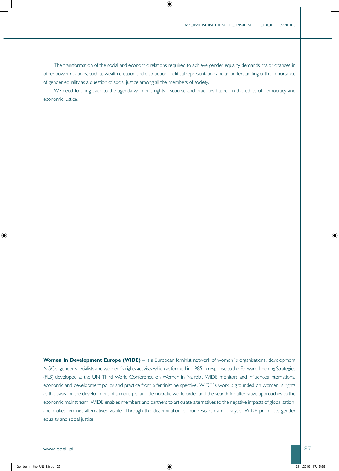The transformation of the social and economic relations required to achieve gender equality demands major changes in other power relations, such as wealth creation and distribution, political representation and an understanding of the importance of gender equality as a question of social justice among all the members of society.

We need to bring back to the agenda women's rights discourse and practices based on the ethics of democracy and economic justice.

**Women In Development Europe (WIDE)** – is a European feminist network of women's organisations, development NGOs, gender specialists and women´s rights activists which as formed in 1985 in response to the Forward-Looking Strategies (FLS) developed at the UN Third World Conference on Women in Nairobi. WIDE monitors and influences international economic and development policy and practice from a feminist perspective. WIDE´s work is grounded on women´s rights as the basis for the development of a more just and democratic world order and the search for alternative approaches to the economic mainstream. WIDE enables members and partners to articulate alternatives to the negative impacts of globalisation, and makes feminist alternatives visible. Through the dissemination of our research and analysis, WIDE promotes gender equality and social justice.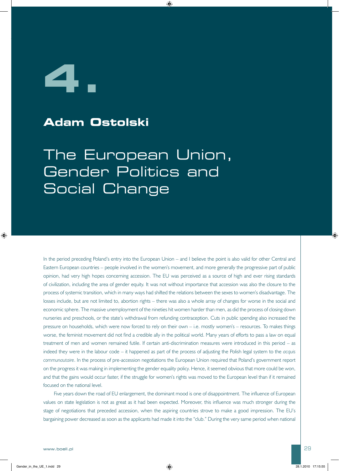

## **Adam Ostolski**

The European Union, Gender Politics and Social Change

In the period preceding Poland's entry into the European Union – and I believe the point is also valid for other Central and Eastern European countries – people involved in the women's movement, and more generally the progressive part of public opinion, had very high hopes concerning accession. The EU was perceived as a source of high and ever rising standards of civilization, including the area of gender equity. It was not without importance that accession was also the closure to the process of systemic transition, which in many ways had shifted the relations between the sexes to women's disadvantage. The losses include, but are not limited to, abortion rights – there was also a whole array of changes for worse in the social and economic sphere. The massive unemployment of the nineties hit women harder than men, as did the process of closing down nurseries and preschools, or the state's withdrawal from refunding contraception. Cuts in public spending also increased the pressure on households, which were now forced to rely on their own – i.e. mostly women's – resources. To makes things worse, the feminist movement did not find a credible ally in the political world. Many years of efforts to pass a law on equal treatment of men and women remained futile. If certain anti-discrimination measures were introduced in this period – as indeed they were in the labour code – it happened as part of the process of adjusting the Polish legal system to the *acquis communautaire*. In the process of pre-accession negotiations the European Union required that Poland's government report on the progress it was making in implementing the gender equality policy. Hence, it seemed obvious that more could be won, and that the gains would occur faster, if the struggle for women's rights was moved to the European level than if it remained focused on the national level.

Five years down the road of EU enlargement, the dominant mood is one of disappointment. The influence of European values on state legislation is not as great as it had been expected. Moreover, this influence was much stronger during the stage of negotiations that preceded accession, when the aspiring countries strove to make a good impression. The EU's bargaining power decreased as soon as the applicants had made it into the "club." During the very same period when national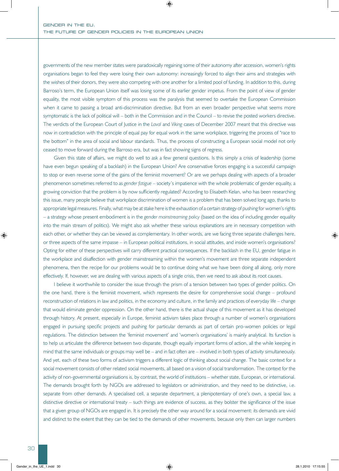governments of the new member states were paradoxically regaining some of their autonomy after accession, women's rights organisations began to feel they were losing their own autonomy: increasingly forced to align their aims and strategies with the wishes of their donors, they were also competing with one another for a limited pool of funding. In addition to this, during Barroso's term, the European Union itself was losing some of its earlier gender impetus. From the point of view of gender equality, the most visible symptom of this process was the paralysis that seemed to overtake the European Commission when it came to passing a broad anti-discrimination directive. But from an even broader perspective what seems more symptomatic is the lack of political will – both in the Commission and in the Council – to revise the posted workers directive. The verdicts of the European Court of Justice in the *Laval* and *Viking* cases of December 2007 meant that this directive was now in contradiction with the principle of equal pay for equal work in the same workplace, triggering the process of "race to the bottom" in the area of social and labour standards. Thus, the process of constructing a European social model not only ceased to move forward during the Barroso era, but was in fact showing signs of regress.

Given this state of affairs, we might do well to ask a few general questions. Is this simply a crisis of leadership (some have even begun speaking of a backlash) in the European Union? Are conservative forces engaging is a successful campaign to stop or even reverse some of the gains of the feminist movement? Or are we perhaps dealing with aspects of a broader phenomenon sometimes referred to as *gender fatigue* – society's impatience with the whole problematic of gender equality, a growing conviction that the problem is by now sufficiently regulated? According to Elisabeth Kelan, who has been researching this issue, many people believe that workplace discrimination of women is a problem that has been solved long ago, thanks to appropriate legal measures. Finally, what may be at stake here is the exhaustion of a certain strategy of pushing for women's rights – a strategy whose present embodiment is in the *gender mainstreaming policy* (based on the idea of including gender equality into the main stream of politics). We might also ask whether these various explanations are in necessary competition with each other, or whether they can be viewed as complementary. In other words, are we facing three separate challenges here, or three aspects of the same impasse – in European political institutions, in social attitudes, and inside women's organisations? Opting for either of these perspectives will carry different practical consequences. If the backlash in the EU, gender fatigue in the workplace and disaffection with gender mainstreaming within the women's movement are three separate independent phenomena, then the recipe for our problems would be to continue doing what we have been doing all along, only more effectively. If, however, we are dealing with various aspects of a single crisis, then we need to ask about its root causes.

I believe it worthwhile to consider the issue through the prism of a tension between two types of gender politics. On the one hand, there is the feminist movement, which represents the desire for comprehensive social change – profound reconstruction of relations in law and politics, in the economy and culture, in the family and practices of everyday life – change that would eliminate gender oppression. On the other hand, there is the actual shape of this movement as it has developed through history. At present, especially in Europe, feminist activism takes place through a number of women's organisations engaged in pursuing specific projects and pushing for particular demands as part of certain pro-women policies or legal regulations. The distinction between the 'feminist movement' and 'women's organisations' is mainly analytical. Its function is to help us articulate the difference between two disparate, though equally important forms of action, all the while keeping in mind that the same individuals or groups may well be – and in fact often are – involved in both types of activity simultaneously. And yet, each of these two forms of activism triggers a different logic of thinking about social change. The basic context for a social movement consists of other related social movements, all based on a vision of social transformation. The context for the activity of non-governmental organisations is, by contrast, the world of institutions – whether state, European, or international. The demands brought forth by NGOs are addressed to legislators or administration, and they need to be distinctive, i.e. separate from other demands. A specialised cell, a separate department, a plenipotentiary of one's own, a special law, a distinctive directive or international treaty – such things are evidence of success, as they bolster the significance of the issue that a given group of NGOs are engaged in. It is precisely the other way around for a social movement: its demands are vivid and distinct to the extent that they can be tied to the demands of other movements, because only then can larger numbers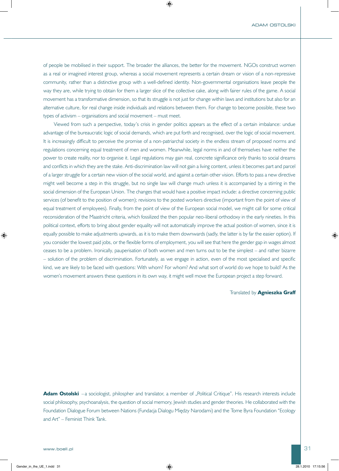of people be mobilised in their support. The broader the alliances, the better for the movement. NGOs construct women as a real or imagined interest group, whereas a social movement represents a certain dream or vision of a non-repressive community, rather than a distinctive group with a well-defined identity. Non-governmental organisations leave people the way they are, while trying to obtain for them a larger slice of the collective cake, along with fairer rules of the game. A social movement has a transformative dimension, so that its struggle is not just for change within laws and institutions but also for an alternative culture, for real change inside individuals and relations between them. For change to become possible, these two types of activism – organisations and social movement – must meet.

Viewed from such a perspective, today's crisis in gender politics appears as the effect of a certain imbalance: undue advantage of the bureaucratic logic of social demands, which are put forth and recognised, over the logic of social movement. It is increasingly difficult to perceive the promise of a non-patriarchal society in the endless stream of proposed norms and regulations concerning equal treatment of men and women. Meanwhile, legal norms in and of themselves have neither the power to create reality, nor to organise it. Legal regulations may gain real, concrete significance only thanks to social dreams and conflicts in which they are the stake. Anti-discrimination law will not gain a living content, unless it becomes part and parcel of a larger struggle for a certain new vision of the social world, and against a certain other vision. Efforts to pass a new directive might well become a step in this struggle, but no single law will change much unless it is accompanied by a stirring in the social dimension of the European Union. The changes that would have a positive impact include: a directive concerning public services (of benefit to the position of women); revisions to the posted workers directive (important from the point of view of equal treatment of employees). Finally, from the point of view of the European social model, we might call for some critical reconsideration of the Maastricht criteria, which fossilized the then popular neo-liberal orthodoxy in the early nineties. In this political context, efforts to bring about gender equality will not automatically improve the actual position of women, since it is equally possible to make adjustments upwards, as it is to make them downwards (sadly, the latter is by far the easier option). If you consider the lowest paid jobs, or the flexible forms of employment, you will see that here the gender gap in wages almost ceases to be a problem. Ironically, pauperisation of both women and men turns out to be the simplest – and rather bizarre – solution of the problem of discrimination. Fortunately, as we engage in action, even of the most specialised and specific kind, we are likely to be faced with questions: With whom? For whom? And what sort of world do we hope to build? As the women's movement answers these questions in its own way, it might well move the European project a step forward.

#### Translated by **Agnieszka Graff**

Adam Ostolski -a sociologist, philospher and translator, a member of "Political Critique". His research interests include social philosophy, psychoanalysis, the question of social memory, Jewish studies and gender theories. He collaborated with the Foundation Dialogue Forum between Nations (Fundacja Dialogu Między Narodami) and the Tome Byra Foundation "Ecology and Art" – Feminist Think Tank.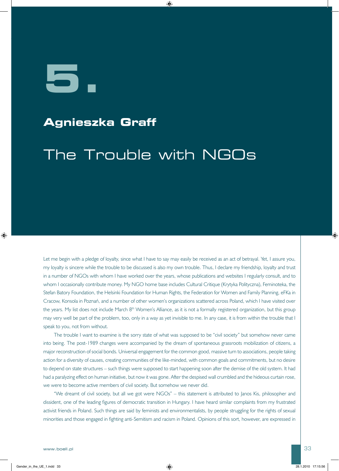**5.**

## **Agnieszka Graff**

## The Trouble with NGOs

Let me begin with a pledge of loyalty, since what I have to say may easily be received as an act of betrayal. Yet, I assure you, my loyalty is sincere while the trouble to be discussed is also my own trouble. Thus, I declare my friendship, loyalty and trust in a number of NGOs with whom I have worked over the years, whose publications and websites I regularly consult, and to whom I occasionally contribute money. My NGO home base includes Cultural Critique (Krytyka Polityczna), Feminoteka, the Stefan Batory Foundation, the Helsinki Foundation for Human Rights, the Federation for Women and Family Planning, eFKa in Cracow, Konsola in Poznań, and a number of other women's organizations scattered across Poland, which I have visited over the years. My list does not include March 8<sup>th</sup> Women's Alliance, as it is not a formally registered organization, but this group may very well be part of the problem, too, only in a way as yet invisible to me. In any case, it is from within the trouble that I speak to you, not from without.

The trouble I want to examine is the sorry state of what was supposed to be "civil society" but somehow never came into being. The post-1989 changes were accompanied by the dream of spontaneous grassroots mobilization of citizens, a major reconstruction of social bonds. Universal engagement for the common good, massive turn to associations, people taking action for a diversity of causes, creating communities of the like-minded, with common goals and commitments, but no desire to depend on state structures – such things were supposed to start happening soon after the demise of the old system. It had had a paralyzing effect on human initiative, but now it was gone. After the despised wall crumbled and the hideous curtain rose, we were to become active members of civil society. But somehow we never did.

"We dreamt of civil society, but all we got were NGOs" – this statement is attributed to Janos Kis, philosopher and dissident, one of the leading figures of democratic transition in Hungary. I have heard similar complaints from my frustrated activist friends in Poland. Such things are said by feminists and environmentalists, by people struggling for the rights of sexual minorities and those engaged in fighting anti-Semitism and racism in Poland. Opinions of this sort, however, are expressed in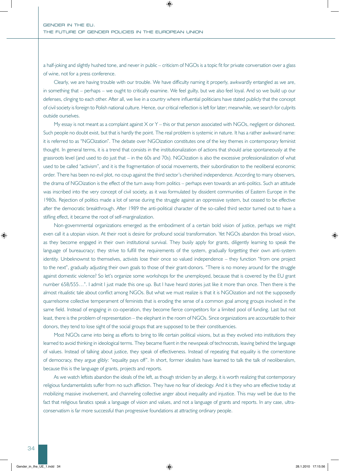a half-joking and slightly hushed tone, and never in public – criticism of NGOs is a topic fit for private conversation over a glass of wine, not for a press conference.

Clearly, we are having trouble with our trouble. We have difficulty naming it properly, awkwardly entangled as we are, in something that – perhaps – we ought to critically examine. We feel guilty, but we also feel loyal. And so we build up our defenses, clinging to each other. After all, we live in a country where influential politicians have stated publicly that the concept of civil society is foreign to Polish national culture. Hence, our critical reflection is left for later; meanwhile, we search for culprits outside ourselves.

My essay is not meant as a complaint against  $X$  or  $Y$  – this or that person associated with NGOs, negligent or dishonest. Such people no doubt exist, but that is hardly the point. The real problem is systemic in nature. It has a rather awkward name: it is referred to as "NGOization". The debate over NGOization constitutes one of the key themes in contemporary feminist thought. In general terms, it is a trend that consists in the institutionalization of actions that should arise spontaneously at the grassroots level (and used to do just that – in the 60s and 70s). NGOization is also the excessive professionalization of what used to be called "activism", and it is the fragmentation of social movements, their subordination to the neoliberal economic order. There has been no evil plot, no coup against the third sector's cherished independence. According to many observers, the drama of NGOization is the effect of the turn away from politics – perhaps even towards an anti-politics. Such an attitude was inscribed into the very concept of civil society, as it was formulated by dissident communities of Eastern Europe in the 1980s. Rejection of politics made a lot of sense during the struggle against an oppressive system, but ceased to be effective after the democratic breakthrough. After 1989 the anti-political character of the so-called third sector turned out to have a stifling effect, it became the root of self-marginalization.

Non-governmental organizations emerged as the embodiment of a certain bold vision of justice, perhaps we might even call it a utopian vision. At their root is desire for profound social transformation. Yet NGOs abandon this broad vision, as they become engaged in their own institutional survival. They busily apply for grants, diligently learning to speak the language of bureaucracy; they strive to fulfill the requirements of the system, gradually forgetting their own anti-system identity. Unbeknownst to themselves, activists lose their once so valued independence – they function "from one project to the next", gradually adjusting their own goals to those of their grant-donors. "There is no money around for the struggle against domestic violence? So let's organize some workshops for the unemployed, because that is covered by the EU grant number 658/555…". I admit I just made this one up. But I have heard stories just like it more than once. Then there is the almost ritualistic tale about conflict among NGOs. But what we must realize is that it is NGOization and not the supposedly quarrelsome collective temperament of feminists that is eroding the sense of a common goal among groups involved in the same field. Instead of engaging in co-operation, they become fierce competitors for a limited pool of funding. Last but not least, there is the problem of representation – the elephant in the room of NGOs. Since organizations are accountable to their donors, they tend to lose sight of the social groups that are supposed to be their constituencies.

Most NGOs came into being as efforts to bring to life certain political visions, but as they evolved into institutions they learned to avoid thinking in ideological terms. They became fluent in the newspeak of technocrats, leaving behind the language of values. Instead of talking about justice, they speak of effectiveness. Instead of repeating that equality is the cornerstone of democracy, they argue glibly: "equality pays off". In short, former idealists have learned to talk the talk of neoliberalism, because this is the language of grants, projects and reports.

As we watch leftists abandon the ideals of the left, as though stricken by an allergy, it is worth realizing that contemporary religious fundamentalists suffer from no such affliction. They have no fear of ideology. And it is they who are effective today at mobilizing massive involvement, and channeling collective anger about inequality and injustice. This may well be due to the fact that religious fanatics speak a language of vision and values, and not a language of grants and reports. In any case, ultraconservatism is far more successful than progressive foundations at attracting ordinary people.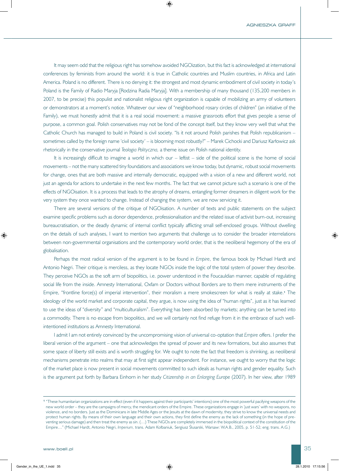It may seem odd that the religious right has somehow avoided NGOization, but this fact is acknowledged at international conferences by feminists from around the world: it is true in Catholic countries and Muslim countries, in Africa and Latin America. Poland is no different. There is no denying it: the strongest and most dynamic embodiment of civil society in today's Poland is the Family of Radio Maryja [Rodzina Radia Maryja]. With a membership of many thousand (135,200 members in 2007, to be precise) this populist and nationalist religious right organization is capable of mobilizing an army of volunteers or demonstrators at a moment's notice. Whatever our view of "neighborhood rosary circles of children" (an initiative of the Family), we must honestly admit that it is a real social movement: a massive grassroots effort that gives people a sense of purpose, a common goal. Polish conservatives may not be fond of the concept itself, but they know very well that what the Catholic Church has managed to build in Poland is civil society. "Is it not around Polish parishes that Polish republicanism – sometimes called by the foreign name 'civil society' – is blooming most robustly?" – Marek Cichocki and Dariusz Karłowicz ask rhetorically in the conservative journal *Teologia Polityczna,* a theme issue on Polish national identity.

It is increasingly difficult to imagine a world in which our – leftist – side of the political scene is the home of social movements – not the many scattered tiny foundations and associations we know today, but dynamic, robust social movements for change, ones that are both massive and internally democratic, equipped with a vision of a new and different world, not just an agenda for actions to undertake in the next few months. The fact that we cannot picture such a scenario is one of the effects of NGOisation. It is a process that leads to the atrophy of dreams, entangling former dreamers in diligent work for the very system they once wanted to change. Instead of changing the system, we are now servicing it.

There are several versions of the critique of NGOisation. A number of texts and public statements on the subject examine specific problems such as donor dependence, professionalisation and the related issue of activist burn-out, increasing bureaucratisation, or the deadly dynamic of internal conflict typically afflicting small self-enclosed groups. Without dwelling on the details of such analyses, I want to mention two arguments that challenge us to consider the broader interrelations between non-governmental organisations and the contemporary world order, that is the neoliberal hegemony of the era of globalisation.

Perhaps the most radical version of the argument is to be found in *Empire*, the famous book by Michael Hardt and Antonio Negri. Their critique is merciless, as they locate NGOs inside the logic of the total system of power they describe. They perceive NGOs as the soft arm of biopolitics, i.e. power understood in the Foucauldian manner, capable of regulating social life from the inside. Amnesty International, Oxfam or Doctors without Borders are to them mere instruments of the Empire, "frontline force(s) of imperial intervention", their moralism a mere smokescreen for what is really at stake.**1** The ideology of the world market and corporate capital, they argue, is now using the idea of "human rights", just as it has learned to use the ideas of "diversity" and "multiculturalism". Everything has been absorbed by markets; anything can be turned into a commodity. There is no escape from biopolitics, and we will certainly not find refuge from it in the embrace of such wellintentioned institutions as Amnesty International.

I admit I am not entirely convinced by the uncompromising vision of universal co-optation that *Empire* offers. I prefer the liberal version of the argument – one that acknowledges the spread of power and its new formations, but also assumes that some space of liberty still exists and is worth struggling for. We ought to note the fact that freedom is shrinking, as neoliberal mechanisms penetrate into realms that may at first sight appear independent. For instance, we ought to worry that the logic of the market place is now present in social movements committed to such ideals as human rights and gender equality. Such is the argument put forth by Barbara Einhorn in her study *Citizenship in an Enlarging Europe* (2007). In her view, after 1989

**<sup>1</sup>** "These humanitarian organizations are in effect (even if it happens against their participants' intentions) one of the most powerful pacifying weapons of the new world order – they are the campaigns of mercy, the mendicant orders of the Empire. These organizations engage in 'just wars' with no weapons, no violence, and no borders. Just as the Dominicans in late Middle Ages or the Jesuits at the dawn of modernity, they strive to know the universal needs and protect human rights. By means of their own language and their own actions, they first define the enemy as the lack of something (in the hope of preventing serious damage) and then treat the enemy as sin. (…) These NGOs are completely immersed in the biopolitical context of the constitution of the Empire…" (Michael Hardt, Antonio Negri, *Imperium,* trans. Adam Kołbaniuk, Sergiusz Ślusarski, Warsaw: W.A.B., 2005, p. 51-52; eng. trans. A.G.)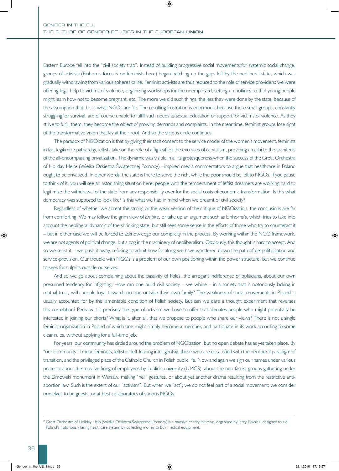Eastern Europe fell into the "civil society trap". Instead of building progressive social movements for systemic social change, groups of activists (Einhorn's focus is on feminists here) began patching up the gaps left by the neoliberal state, which was gradually withdrawing from various spheres of life. Feminist activists are thus reduced to the role of service providers: we were offering legal help to victims of violence, organizing workshops for the unemployed, setting up hotlines so that young people might learn how not to become pregnant, etc. The more we did such things, the less they were done by the state, because of the assumption that this is what NGOs are for. The resulting frustration is enormous, because these small groups, constantly struggling for survival, are of course unable to fulfill such needs as sexual education or support for victims of violence. As they strive to fulfill them, they become the object of growing demands and complaints. In the meantime, feminist groups lose sight of the transformative vision that lay at their root. And so the vicious circle continues.

The paradox of NGOization is that by giving their tacit consent to the service model of the women's movement, feminists in fact legitimize patriarchy, leftists take on the role of a fig leaf for the excesses of capitalism, providing an alibi to the architects of the all-encompassing privatization. The dynamic was visible in all its grotesqueness when the success of the Great Orchestra of Holiday Help**2** (Wielka Orkiestra Świątecznej Pomocy) –inspired media commentators to argue that healthcare in Poland ought to be privatized. In other words, the state is there to serve the rich, while the poor should be left to NGOs. If you pause to think of it, you will see an astonishing situation here: people with the temperament of leftist dreamers are working hard to legitimize the withdrawal of the state from any responsibility over for the social costs of economic transformation. Is this what democracy was supposed to look like? Is this what we had in mind when we dreamt of civil society?

Regardless of whether we accept the strong or the weak version of the critique of NGOization, the conclusions are far from comforting. We may follow the grim view of *Empire*, or take up an argument such as Einhorns's, which tries to take into account the neoliberal dynamic of the shrinking state, but still sees some sense in the efforts of those who try to counteract it – but in either case we will be forced to acknowledge our complicity in the process. By working within the NGO framework, we are not agents of political change, but a cog in the machinery of neoliberalism. Obviously, this thought is hard to accept. And so we resist it – we push it away, refusing to admit how far along we have wandered down the path of de-politicization and service-provision. Our trouble with NGOs is a problem of our own positioning within the power structure, but we continue to seek for culprits outside ourselves.

And so we go about complaining about the passivity of Poles, the arrogant indifference of politicians, about our own presumed tendency for infighting. How can one build civil society – we whine – in a society that is notoriously lacking in mutual trust, with people loyal towards no one outside their own family? The weakness of social movements in Poland is usually accounted for by the lamentable condition of Polish society. But can we dare a thought experiment that reverses this correlation? Perhaps it is precisely the type of activism we have to offer that alienates people who might potentially be interested in joining our efforts? What is it, after all, that we propose to people who share our views? There is not a single feminist organization in Poland of which one might simply become a member, and participate in its work according to some clear rules, without applying for a full-time job.

For years, our community has circled around the problem of NGOization, but no open debate has as yet taken place. By "our community" I mean feminists, leftist or left-leaning intelligentsia, those who are dissatisfied with the neoliberal paradigm of transition, and the privileged place of the Catholic Church in Polish public life. Now and again we sign our names under various protests: about the massive firing of employees by Lublin's university (UMCS), about the neo-fascist groups gathering under the Dmowski monument in Warsaw, making "heil" gestures, or about yet another drama resulting from the restrictive antiabortion law. Such is the extent of our "activism". But when we "act", we do not feel part of a social movement; we consider ourselves to be guests, or at best collaborators of various NGOs.

**<sup>2</sup>** Great Orchestra of Holiday Help (Wielka Orkiestra Świątecznej Pomocy) is a massive charity initiative, organised by Jerzy Owsiak, designed to aid Poland's notoriously failing healthcare system by collecting money to buy medical equipment.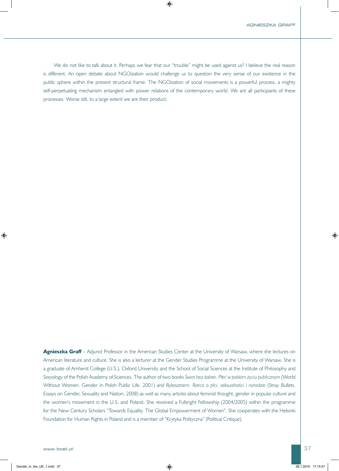We do not like to talk about it. Perhaps we fear that our "trouble" might be used against us? I believe the real reason is different. An open debate about NGOization would challenge us to question the very sense of our existence in the public sphere within the present structural frame. The NGOization of social movements is a powerful process, a mighty self-perpetuating mechanism entangled with power relations of the contemporary world. We are all participants of these processes. Worse still, to a large extent we are their product.

Agnieszka Graff – Adjunct Professor in the American Studies Center at the University of Warsaw, where she lectures on American literature and culture. She is also a lecturer at the Gender Studies Programme at the University of Warsaw. She is a graduate of Amherst College (U.S.), Oxford University and the School of Social Sciences at the Institute of Philosophy and Sociology of the Polish Academy of Sciences. The author of two books *Świat bez kobiet. Płeć w polskim życiu publicznym* (World Without Women. Gender in Polish Public Life, 2001) and *Rykoszetem. Rzecz o płci, seksualności i narodzie* (Stray Bullets. Essays on Gender, Sexuality and Nation, 2008) as well as many articles about feminist thought, gender in popular culture and the women's movement in the U.S. and Poland. She received a Fulbright Fellowship (2004/2005) within the programme for the New Century Scholars "Towards Equality. The Global Empowerment of Women". She cooperates with the Helsinki Foundation for Human Rights in Poland and is a member of "Krytyka Polityczna" (Political Critique).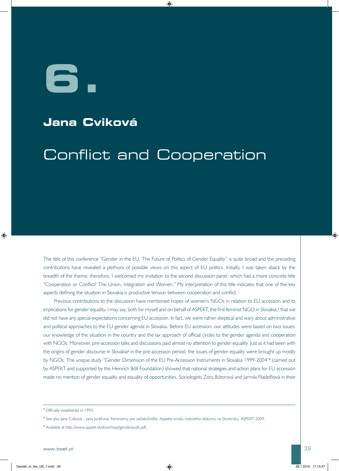**6.**

## **Jana Cviková**

## Conflict and Cooperation

The title of this conference "Gender in the EU. The Future of Politics of Gender Equality" is quite broad and the preceding contributions have revealed a plethora of possible views on this aspect of EU politics. Initially, I was taken aback by the breadth of the theme; therefore, I welcomed my invitation to the second discussion panel, which had a more concrete title "Cooperation or Conflict? The Union, Integration and Women." My interpretation of this title indicates that one of the key aspects defining the situation in Slovakia is productive tension between cooperation and conflict.

Previous contributions to the discussion have mentioned hopes of women's NGOs in relation to EU accession and its implications for gender equality. I may say, both for myself and on behalf of ASPEKT, the first feminist NGO in Slovakia,**1** that we did not have any special expectations concerning EU accession. In fact, we were rather skeptical and wary about administrative and political approaches to the EU gender agenda in Slovakia. Before EU accession, our attitudes were based on two issues: our knowledge of the situation in the country and the lax approach of official circles to the gender agenda and cooperation with NGOs. Moreover, pre-accession talks and discussions paid almost no attention to gender equality. Just as it had been with the origins of gender discourse in Slovakia**2** in the pre-accession period, the issues of gender equality were brought up mostly by NGOs. The unique study "Gender Dimension of the EU Pre-Accession Instruments in Slovakia 1999-2004"**3** (carried out by ASPEKT and supported by the Heinrich Böll Foundation) showed that national strategies and action plans for EU accession made no mention of gender equality and equality of opportunities. Sociologists Zora Bútorová and Jarmila Filadelfiová in their

**<sup>1</sup>** Officially established in 1993.

**<sup>2</sup>** See also Jana Cviková – Jana Juráňová: Feminizmy pre začiatočníčky. Aspekty zrodu rodového diskurzu na Slovensku. ASPEKT 2009.

**<sup>3</sup>** Available at http://www.aspekt.sk/download/genderaudit.pdf.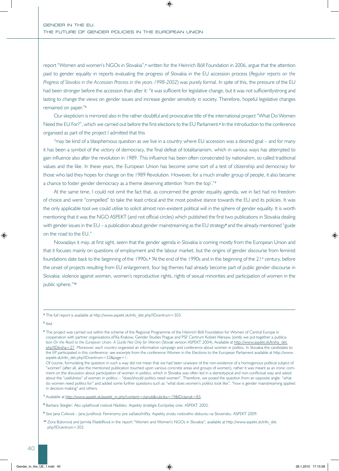report "Women and women's NGOs in Slovakia",**4** written for the Heinrich Böll Foundation in 2006, argue that the attention paid to gender equality in reports evaluating the progress of Slovakia in the EU accession process (*Regular reports on the Progress of Slovakia in the Accession Process in the years 1998-2002*) was purely formal. In spite of this, the pressure of the EU had been stronger before the accession than after it: "it was sufficient for legislative change, but it was not sufficientlystrong and lasting to change the views on gender issues and increase gender sensitivity in society. Therefore, hopeful legislative changes remained on paper."**<sup>5</sup>**

Our skepticism is mirrored also in the rather doubtful and provocative title of the international project "What Do Women Need the EU For?", which we carried out before the first elections to the EU Parliament.**6** In the introduction to the conference organised as part of the project I admitted that this

"may be kind of a blasphemous question as we live in a country where EU accession was a desired goal – and for many it has been a symbol of the victory of democracy, the final defeat of totalitarianism, which in various ways has attempted to gain influence also after the revolution in 1989. This influence has been often consecrated by nationalism, so called traditional values and the like. In these years, the European Union has become some sort of a test of citizenship and democracy for those who laid they hopes for change on the 1989 Revolution. However, for a much smaller group of people, it also became a chance to foster gender democracy as a theme deserving attention 'from the top'."**<sup>7</sup>**

At the same time, I could not omit the fact that, as concerned the gender equality agenda, we in fact had no freedom of choice and were "compelled" to take the least critical and the most positive stance towards the EU and its policies. It was the only applicable tool we could utilise to solicit almost non-existent political will in the sphere of gender equality. It is worth mentioning that it was the NGO ASPEKT (and not official circles) which published the first two publications in Slovakia dealing with gender issues in the EU – a publication about gender mainstreaming as the EU strategy<sup>8</sup> and the already mentioned "guide on the road to the EU."

Nowadays it may, at first sight, seem that the gender agenda in Slovakia is coming mostly from the European Union and that it focuses mainly on questions of employment and the labour market, but the origins of gender discourse from feminist foundations date back to the beginning of the 1990s.<sup>9</sup> "At the end of the 1990s and in the beginning of the 21<sup>st</sup> century, before the onset of projects resulting from EU enlargement, four big themes had already become part of public gender discourse in Slovakia: violence against women, women's reproductive rights, rights of sexual minorities and participation of women in the public sphere."**<sup>10</sup>**

**<sup>5</sup>** Ibid.

**<sup>4</sup>** The full report is available at http://www.aspekt.sk/info\_det.php?IDcentrum=303.

**<sup>6</sup>** The project was carried out within the scheme of the Regional Programme of the Heinrich Böll Foundation for Women of Central Europe in cooperation with partner organisations eFKa Krakow, Gender Studies Prague and PSF Centrum Kobiet Warsaw. Jointly we put together a publication *On the Road to the European Union. A Guide Not Only for Women* (Slovak version ASPEKT 2004). Available at http://www.aspekt.sk/kniha\_det. php?IDkniha=27. Moreover, each country organised an information campaign and conference about women in politics. In Slovakia the candidates to the EP participated in this conference; see excerpts from the conference Women in the Elections to the European Parliament available at http://www. aspekt.sk/info\_det.php?IDcentrum=32&page=1.

Of course, formulating the question in such a way did not mean that we had been unaware of the non-existence of a homogenous political subject of "women" (after all, also the mentioned publication touched upon various concrete areas and groups of women), rather it was meant as an ironic comment on the discussion about participation of women in politics, which in Slovakia was often led in a stereotypical and non-conflictual way and asked about the "usefulness" of women in politics – "does/should politics need women". Therefore, we posed the question from an opposite angle: "what do women need politics for" and added some further questions such as "what does women's politics look like", "how is gender mainstreaming applied in decision-making" and others.

**<sup>7</sup>** Available at http://www.aspekt.sk/aspekt\_in.php?content=clanok&rubrika=19&IDclanok=83.

**<sup>8</sup>** Barbara Stiegler: Ako uplatňovať rodové hľadisko. Aspekty stratégie Európskej únie. ASPEKT 2002.

**<sup>9</sup>** See Jana Cviková – Jana Juráňová: Feminizmy pre začiatočníčky. Aspekty zrodu rodového diskurzu na Slovensku. ASPEKT 2009.

**<sup>10</sup>** Zora Bútorová and Jarmila Filadelfiová in the report "Women and Women's NGOs in Slovakia"; available at http://www.aspekt.sk/info\_det. php?IDcentrum=303.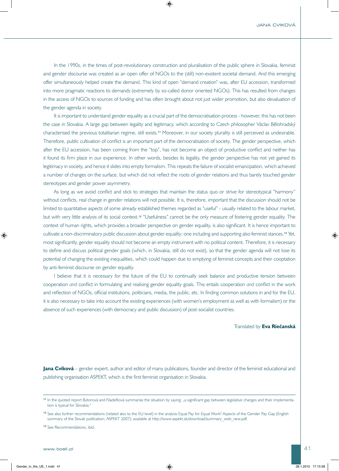In the 1990s, in the times of post-revolutionary construction and pluralisation of the public sphere in Slovakia, feminist and gender discourse was created as an open offer of NGOs to the (still) non-existent societal demand. And this emerging offer simultaneously helped create the demand. This kind of open "demand creation" was, after EU accession, transformed into more pragmatic reactions to demands (extremely by so-called donor oriented NGOs). This has resulted from changes in the access of NGOs to sources of funding and has often brought about not just wider promotion, but also devaluation of the gender agenda in society.

It is important to understand gender equality as a crucial part of the democratisation process - however, this has not been the case in Slovakia. A large gap between legality and legitimacy, which according to Czech philosopher Václav Bělohradský characterised the previous totalitarian regime, still exists.**11** Moreover, in our society plurality is still perceived as undesirable. Therefore, public cultivation of conflict is an important part of the democratisation of society. The gender perspective, which after the EU accession, has been coming from the "top", has not become an object of productive conflict and neither has it found its firm place in our experience. In other words, besides its legality, the gender perspective has not yet gained its legitimacy in society, and hence it slides into empty formalism. This repeats the failure of socialist emancipation, which achieved a number of changes on the surface, but which did not reflect the roots of gender relations and thus barely touched gender stereotypes and gender power asymmetry.

As long as we avoid conflict and stick to strategies that maintain the status quo or strive for stereotypical "harmony" without conflicts, real change in gender relations will not possible. It is, therefore, important that the discussion should not be limited to quantitative aspects of some already established themes regarded as "useful" - usually related to the labour market, but with very little analysis of its social context.**12** "Usefulness" cannot be the only measure of fostering gender equality. The context of human rights, which provides a broader perspective on gender equality, is also significant. It is hence important to cultivate a non-discriminatory public discussion about gender equality; one including and supporting also feminist stances.**13** Yet, most significantly, gender equality should not become an empty instrument with no political content. Therefore, it is necessary to define and discuss political gender goals (which, in Slovakia, still do not exist), so that the gender agenda will not lose its potential of changing the existing inequalities, which could happen due to emptying of feminist concepts and their cooptation by anti-feminist discourse on gender equality.

I believe that it is necessary for the future of the EU to continually seek balance and productive tension between cooperation *and* conflict in formulating and realising gender equality goals. This entails cooperation *and* conflict in the work and reflection of NGOs, official institutions, politicians, media, the public, etc. In finding common solutions in and for the EU, it is also necessary to take into account the existing experiences (with women's employment as well as with formalism) or the absence of such experiences (with democracy and public discussion) of post-socialist countries.

Translated by **Eva Riečanská**

**Jana Cviková** – gender expert, author and editor of many publications, founder and director of the feminist educational and publishing organisation ASPEKT, which is the first feminist organisation in Slovakia.

**<sup>11</sup>** In the quoted report Bútorová and Filadelfiová summarise the situation by saying: "a significant gap between legislative changes and their implementation is typical for Slovakia."

**<sup>12</sup>** See also further recommendations (related also to the EU level) in the analysis Equal Pay for Equal Work? Aspects of the Gender Pay Gap (English summary of the Slovak publication; ASPEKT 2007); available at http://www.aspekt.sk/download/summary\_web\_new.pdf.

**<sup>13</sup>** See Recommendations, ibid.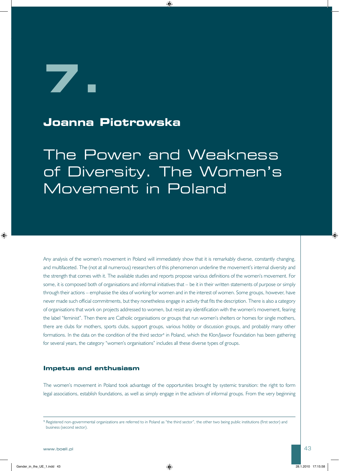**7.**

### **Joanna Piotrowska**

The Power and Weakness of Diversity. The Women's Movement in Poland

Any analysis of the women's movement in Poland will immediately show that it is remarkably diverse, constantly changing, and multifaceted. The (not at all numerous) researchers of this phenomenon underline the movement's internal diversity and the strength that comes with it. The available studies and reports propose various definitions of the women's movement. For some, it is composed both of organisations and informal initiatives that – be it in their written statements of purpose or simply through their actions – emphasise the idea of working for women and in the interest of women. Some groups, however, have never made such official commitments, but they nonetheless engage in activity that fits the description. There is also a category of organisations that work on projects addressed to women, but resist any identification with the women's movement, fearing the label "feminist". Then there are Catholic organisations or groups that run women's shelters or homes for single mothers, there are clubs for mothers, sports clubs, support groups, various hobby or discussion groups, and probably many other formations. In the data on the condition of the third sector<sup>1</sup> in Poland, which the Klon/Jawor Foundation has been gathering for several years, the category "women's organisations" includes all these diverse types of groups.

#### **Impetus and enthusiasm**

The women's movement in Poland took advantage of the opportunities brought by systemic transition: the right to form legal associations, establish foundations, as well as simply engage in the activism of informal groups. From the very beginning

**<sup>1</sup>** Registered non-governmental organizations are referred to in Poland as "the third sector", the other two being public institutions (first sector) and business (second sector).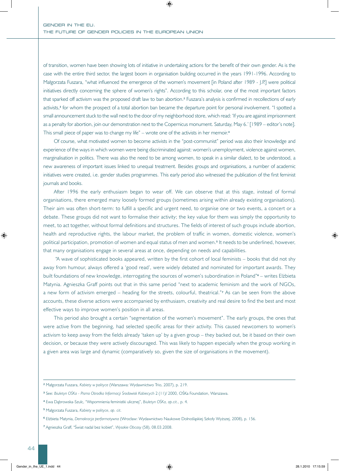of transition, women have been showing lots of initiative in undertaking actions for the benefit of their own gender. As is the case with the entire third sector, the largest boom in organisation building occurred in the years 1991-1996. According to Małgorzata Fuszara, "what influenced the emergence of the women's movement [in Poland after 1989 - J.P.] were political initiatives directly concerning the sphere of women's rights". According to this scholar, one of the most important factors that sparked off activism was the proposed draft law to ban abortion.**2** Fuszara's analysis is confirmed in recollections of early activists,**3** for whom the prospect of a total abortion ban became the departure point for personal involvement. "I spotted a small announcement stuck to the wall next to the door of my neighborhood store, which read: 'If you are against imprisonment as a penalty for abortion, join our demonstration next to the Copernicus monument. Saturday, May 6.' [1989 – editor's note]. This small piece of paper was to change my life" – wrote one of the activists in her memoir. **4**

Of course, what motivated women to become activists in the "post-communist" period was also their knowledge and experience of the ways in which women were being discriminated against: women's unemployment, violence against women, marginalisation in politics. There was also the need to be among women, to speak in a similar dialect, to be understood, a new awareness of important issues linked to unequal treatment. Besides groups and organisations, a number of academic initiatives were created, i.e. gender studies programmes. This early period also witnessed the publication of the first feminist journals and books.

After 1996 the early enthusiasm began to wear off. We can observe that at this stage, instead of formal organisations, there emerged many loosely formed groups (sometimes arising within already existing organisations). Their aim was often short-term: to fulfill a specific and urgent need, to organise one or two events, a concert or a debate. These groups did not want to formalise their activity; the key value for them was simply the opportunity to meet, to act together, without formal definitions and structures. The fields of interest of such groups include abortion, health and reproductive rights, the labour market, the problem of traffic in women, domestic violence, women's political participation, promotion of women and equal status of men and women.**5** It needs to be underlined, however, that many organisations engage in several areas at once, depending on needs and capabilities.

 "A wave of sophisticated books appeared, written by the first cohort of local feminists – books that did not shy away from humour, always offered a 'good read', were widely debated and nominated for important awards. They built foundations of new knowledge, interrogating the sources of women's subordination in Poland"**6** – writes Elżbieta Matynia. Agnieszka Graff points out that in this same period "next to academic feminism and the work of NGOs, a new form of activism emerged – heading for the streets, colourful, theatrical."**7** As can be seen from the above accounts, these diverse actions were accompanied by enthusiasm, creativity and real desire to find the best and most effective ways to improve women's position in all areas.

This period also brought a certain "segmentation of the women's movement". The early groups, the ones that were active from the beginning, had selected specific areas for their activity. This caused newcomers to women's activism to keep away from the fields already 'taken up' by a given group – they backed out, be it based on their own decision, or because they were actively discouraged. This was likely to happen especially when the group working in a given area was large and dynamic (comparatively so, given the size of organisations in the movement).

**<sup>2</sup>** Małgorzata Fuszara, *Kobiety w polityce* (Warszawa: Wydawnictwo Trio, 2007), p. 219.

**<sup>3</sup>** See: *Biuletyn OŚKa - Pismo Ośrodka Informacji Środowisk Kobiecych* 2 (11)/ 2000, OŚKa Foundation, Warszawa.

**<sup>4</sup>** Ewa Dąbrowska-Szulc, "Wspomnienia feministki ulicznej", *Biuletyn OŚKa, op.cit*., p. 4.

**<sup>5</sup>** Małgorzata Fuszara, *Kobiety w polityce*, *op. cit.*

**<sup>6</sup>** Elżbieta Matynia, *Demokracja performatywna* (Wrocław: Wydawnictwo Naukowe Dolnośląskiej Szkoły Wyższej, 2008), p. 156.

**<sup>7</sup>** Agnieszka Graff, "Świat nadal bez kobiet", *Wysokie Obcasy* (58), 08.03.2008.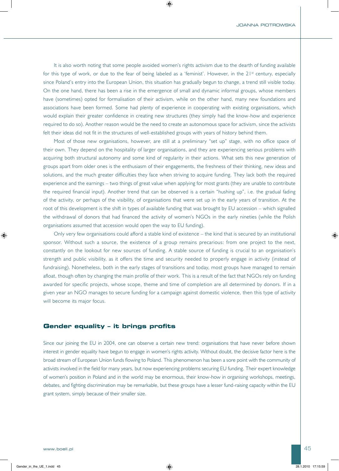It is also worth noting that some people avoided women's rights activism due to the dearth of funding available for this type of work, or due to the fear of being labeled as a 'feminist'. However, in the 21<sup>st</sup> century, especially since Poland's entry into the European Union, this situation has gradually begun to change, a trend still visible today. On the one hand, there has been a rise in the emergence of small and dynamic informal groups, whose members have (sometimes) opted for formalisation of their activism, while on the other hand, many new foundations and associations have been formed. Some had plenty of experience in cooperating with existing organisations, which would explain their greater confidence in creating new structures (they simply had the know-how and experience required to do so). Another reason would be the need to create an autonomous space for activism, since the activists felt their ideas did not fit in the structures of well-established groups with years of history behind them.

Most of those new organisations, however, are still at a preliminary "set up" stage, with no office space of their own. They depend on the hospitality of larger organisations, and they are experiencing serious problems with acquiring both structural autonomy and some kind of regularity in their actions. What sets this new generation of groups apart from older ones is the enthusiasm of their engagements, the freshness of their thinking, new ideas and solutions, and the much greater difficulties they face when striving to acquire funding. They lack both the required experience and the earnings – two things of great value when applying for most grants (they are unable to contribute the required financial input). Another trend that can be observed is a certain "hushing up", i.e. the gradual fading of the activity, or perhaps of the visibility, of organisations that were set up in the early years of transition. At the root of this development is the shift in types of available funding that was brought by EU accession – which signalled the withdrawal of donors that had financed the activity of women's NGOs in the early nineties (while the Polish organisations assumed that accession would open the way to EU funding).

Only very few organisations could afford a stable kind of existence – the kind that is secured by an institutional sponsor. Without such a source, the existence of a group remains precarious: from one project to the next, constantly on the lookout for new sources of funding. A stable source of funding is crucial to an organisation's strength and public visibility, as it offers the time and security needed to properly engage in activity (instead of fundraising). Nonetheless, both in the early stages of transitions and today, most groups have managed to remain afloat, though often by changing the main profile of their work. This is a result of the fact that NGOs rely on funding awarded for specific projects, whose scope, theme and time of completion are all determined by donors. If in a given year an NGO manages to secure funding for a campaign against domestic violence, then this type of activity will become its major focus.

#### **Gender equality – it brings profits**

Since our joining the EU in 2004, one can observe a certain new trend: organisations that have never before shown interest in gender equality have begun to engage in women's rights activity. Without doubt, the decisive factor here is the broad stream of European Union funds flowing to Poland. This phenomenon has been a sore point with the community of activists involved in the field for many years, but now experiencing problems securing EU funding. Their expert knowledge of women's position in Poland and in the world may be enormous, their know-how in organising workshops, meetings, debates, and fighting discrimination may be remarkable, but these groups have a lesser fund-raising capacity within the EU grant system, simply because of their smaller size.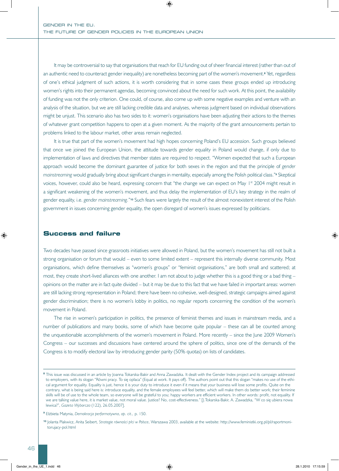It may be controversial to say that organisations that reach for EU funding out of sheer financial interest (rather than out of an authentic need to counteract gender inequality) are nonetheless becoming part of the women's movement.**8** Yet, regardless of one's ethical judgment of such actions, it is worth considering that in some cases these groups ended up introducing women's rights into their permanent agendas, becoming convinced about the need for such work. At this point, the availability of funding was not the only criterion. One could, of course, also come up with some negative examples and venture with an analysis of the situation, but we are still lacking credible data and analyses, whereas judgment based on individual observations might be unjust. This scenario also has two sides to it: women's organisations have been adjusting their actions to the themes of whatever grant competition happens to open at a given moment. As the majority of the grant announcements pertain to problems linked to the labour market, other areas remain neglected.

It is true that part of the women's movement had high hopes concerning Poland's EU accession. Such groups believed that once we joined the European Union, the attitude towards gender equality in Poland would change, if only due to implementation of laws and directives that member states are required to respect. "Women expected that such a European approach would become the dominant guarantee of justice for both sexes in the region and that the principle of *gender mainstreaming* would gradually bring about significant changes in mentality, especially among the Polish political class."**9** Skeptical voices, however, could also be heard, expressing concern that "the change we can expect on May 1<sup>st</sup> 2004 might result in a significant weakening of the women's movement, and thus delay the implementation of EU's key strategy in the realm of gender equality, i.e. *gender mainstreaming.*"**10** Such fears were largely the result of the almost nonexistent interest of the Polish government in issues concerning gender equality, the open disregard of women's issues expressed by politicians.

#### **Success and failure**

Two decades have passed since grassroots initiatives were allowed in Poland, but the women's movement has still not built a strong organisation or forum that would – even to some limited extent – represent this internally diverse community. Most organisations, which define themselves as "women's groups" or "feminist organisations," are both small and scattered; at most, they create short-lived alliances with one another. I am not about to judge whether this is a good thing or a bad thing – opinions on the matter are in fact quite divided – but it may be due to this fact that we have failed in important areas: women are still lacking strong representation in Poland; there have been no cohesive, well-designed, strategic campaigns aimed against gender discrimination; there is no women's lobby in politics, no regular reports concerning the condition of the women's movement in Poland.

The rise in women's participation in politics, the presence of feminist themes and issues in mainstream media, and a number of publications and many books, some of which have become quite popular – these can all be counted among the unquestionable accomplishments of the women's movement in Poland. More recently – since the June 2009 Women's Congress – our successes and discussions have centered around the sphere of politics, since one of the demands of the Congress is to modify electoral law by introducing gender parity (50% quotas) on lists of candidates.

**<sup>8</sup>** This issue was discussed in an article by Joanna Tokarska-Bakir and Anna Zawadzka. It dealt with the Gender Index project and its campaign addressed to employers, with its slogan "Równi pracy. To się opłaca" (Equal at work. It pays off). The authors point out that this slogan "makes no use of the ethical argument for equality. Equality is just, hence it is your duty to introduce it even if it means that your business will lose some profits. Quite on the contrary, what is being said here is: introduce equality, and the female employees will feel better, which will make them do better work; their feminine skills will be of use to the whole team, so everyone will be grateful to you; happy workers are efficient workers. In other words: profit, not equality. If we are talking value here, it is market value, not moral value. Justice? No, cost-effectiveness." [J.Tokarska-Bakir, A. Zawadzka, "W co się ubiera nowa lewica?", *Gazeta Wyborcza* (122), 26.05.2007].

**<sup>9</sup>** Elżbieta Matynia, *Demokracja performatywna*, *op. cit.,* p. 150.

**<sup>10</sup>** Jolanta Plakwicz, Anita Seibert, *Strategie równości płci w Polsce*, Warszawa 2003, available at the website: http://www.feministki.org.pl/pl/raportmonitorujacy-pol.html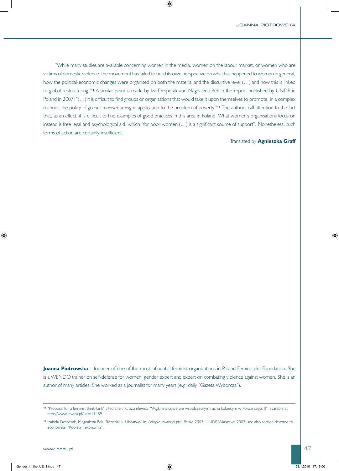"While many studies are available concerning women in the media, women on the labour market, or women who are victims of domestic violence, the movement has failed to build its own perspective on what has happened to women in general, how the political-economic changes were organised on both the material and the discursive level (…) and how this is linked to global restructuring."**11** A similar point is made by Iza Desperak and Magdalena Rek in the report published by UNDP in Poland in 2007: "(…) it is difficult to find groups or organisations that would take it upon themselves to promote, in a complex manner, the policy of *gender mainstreaming* in application to the problem of poverty."**12** The authors call attention to the fact that, as an effect, it is difficult to find examples of good practices in this area in Poland. What women's organisations focus on instead is free legal and psychological aid, which "for poor women (…) is a significant source of support". Nonetheless, such forms of action are certainly insufficient.

#### Translated by **Agnieszka Graff**

**Joanna Piotrowska** – founder of one of the most influential feminist organizations in Poland Feminoteka Foundation. She is a WENDO trainer on self-defense for women, gender expert and expert on combating violence against women. She is an author of many articles. She worked as a journalist for many years (e.g. daily "Gazeta Wyborcza").

**<sup>11</sup>** "Proposal for a feminist think-tank" cited after: K. Szumlewicz "Wątki lewicowe we współczesnym ruchu kobiecym w Polsce część II", available at: http://www.lewica.pl/?id=11489

**<sup>12</sup>** Izabela Desperak, Magdalena Rek "Rozdział 6. Ubóstwo" in: *Polityka równości płci. Polska 2007*, UNDP, Warszawa 2007, see also section devoted to economics: "Kobiety i ekonomia".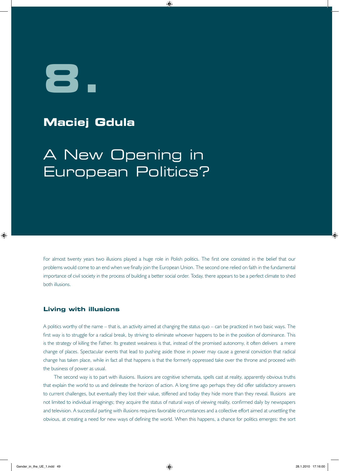**8.**

## **Maciej Gdula**

## A New Opening in European Politics?

For almost twenty years two illusions played a huge role in Polish politics. The first one consisted in the belief that our problems would come to an end when we finally join the European Union. The second one relied on faith in the fundamental importance of civil society in the process of building a better social order. Today, there appears to be a perfect climate to shed both illusions.

#### **Living with illusions**

A politics worthy of the name – that is, an activity aimed at changing the status quo – can be practiced in two basic ways. The first way is to struggle for a radical break, by striving to eliminate whoever happens to be in the position of dominance. This is the strategy of killing the Father. Its greatest weakness is that, instead of the promised autonomy, it often delivers a mere change of places. Spectacular events that lead to pushing aside those in power may cause a general conviction that radical change has taken place, while in fact all that happens is that the formerly oppressed take over the throne and proceed with the business of power as usual.

The second way is to part with illusions. Illusions are cognitive schemata, spells cast at reality, apparently obvious truths that explain the world to us and delineate the horizon of action. A long time ago perhaps they did offer satisfactory answers to current challenges, but eventually they lost their value, stiffened and today they hide more than they reveal. Illusions are not limited to individual imaginings; they acquire the status of natural ways of viewing reality, confirmed daily by newspapers and television. A successful parting with illusions requires favorable circumstances and a collective effort aimed at unsettling the obvious, at creating a need for new ways of defining the world. When this happens, a chance for politics emerges: the sort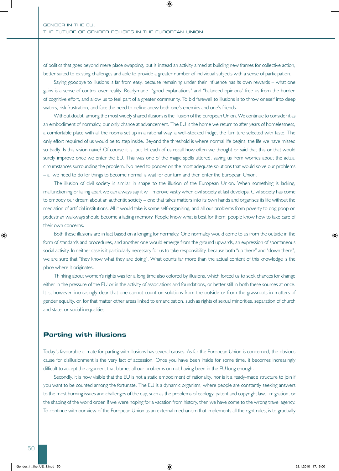of politics that goes beyond mere place swapping, but is instead an activity aimed at building new frames for collective action, better suited to existing challenges and able to provide a greater number of individual subjects with a sense of participation.

Saying goodbye to illusions is far from easy, because remaining under their influence has its own rewards – what one gains is a sense of control over reality. Readymade "good explanations" and "balanced opinions" free us from the burden of cognitive effort, and allow us to feel part of a greater community. To bid farewell to illusions is to throw oneself into deep waters, risk frustration, and face the need to define anew both one's enemies and one's friends.

Without doubt, among the most widely shared illusions is the illusion of the European Union. We continue to consider it as an embodiment of normalcy, our only chance at advancement. The EU is the home we return to after years of homelessness, a comfortable place with all the rooms set up in a rational way, a well-stocked fridge, the furniture selected with taste. The only effort required of us would be to step inside. Beyond the threshold is where normal life begins, the life we have missed so badly. Is this vision naïve? Of course it is, but let each of us recall how often we thought or said that this or that would surely improve once we enter the EU. This was one of the magic spells uttered, saving us from worries about the actual circumstances surrounding the problem. No need to ponder on the most adequate solutions that would solve our problems – all we need to do for things to become normal is wait for our turn and then enter the European Union.

The illusion of civil society is similar in shape to the illusion of the European Union. When something is lacking, malfunctioning or falling apart we can always say it will improve vastly when civil society at last develops. Civil society has come to embody our dream about an authentic society – one that takes matters into its own hands and organises its life without the mediation of artificial institutions. All it would take is some self-organising, and all our problems from poverty to dog poop on pedestrian walkways should become a fading memory. People know what is best for them; people know how to take care of their own concerns.

Both these illusions are in fact based on a longing for normalcy. One normalcy would come to us from the outside in the form of standards and procedures, and another one would emerge from the ground upwards, an expression of spontaneous social activity. In neither case is it particularly necessary for us to take responsibility, because both "up there" and "down there", we are sure that "they know what they are doing". What counts far more than the actual content of this knowledge is the place where it originates.

Thinking about women's rights was for a long time also colored by illusions, which forced us to seek chances for change either in the pressure of the EU or in the activity of associations and foundations, or better still in both these sources at once. It is, however, increasingly clear that one cannot count on solutions from the outside or from the grassroots in matters of gender equality, or, for that matter other areas linked to emancipation, such as rights of sexual minorities, separation of church and state, or social inequalities.

#### **Parting with illusions**

Today's favourable climate for parting with illusions has several causes. As far the European Union is concerned, the obvious cause for disillusionment is the very fact of accession. Once you have been inside for some time, it becomes increasingly difficult to accept the argument that blames all our problems on not having been in the EU long enough.

Secondly, it is now visible that the EU is not a static embodiment of rationality, nor is it a ready-made structure to join if you want to be counted among the fortunate. The EU is a dynamic organism, where people are constantly seeking answers to the most burning issues and challenges of the day, such as the problems of ecology, patent and copyright law, migration, or the shaping of the world order. If we were hoping for a vacation from history, then we have come to the wrong travel agency. To continue with our view of the European Union as an external mechanism that implements all the right rules, is to gradually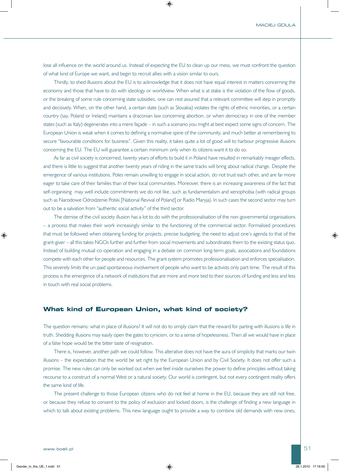lose all influence on the world around us. Instead of expecting the EU to clean up our mess, we must confront the question of what kind of Europe we want, and begin to recruit allies with a vision similar to ours.

Thirdly, to shed illusions about the EU is to acknowledge that it does not have equal interest in matters concerning the economy and those that have to do with ideology or worldview. When what is at stake is the violation of the flow of goods, or the breaking of some rule concerning state subsidies, one can rest assured that a relevant committee will step in promptly and decisively. When, on the other hand, a certain state (such as Slovakia) violates the rights of ethnic minorities, or a certain country (say, Poland or Ireland) maintains a draconian law concerning abortion, or when democracy in one of the member states (such as Italy) degenerates into a mere façade – in such a scenario you might at best expect some signs of concern. The European Union is weak when it comes to defining a normative spine of the community, and much better at remembering to secure "favourable conditions for business". Given this reality, it takes quite a lot of good will to harbour progressive illusions concerning the EU. The EU will guarantee a certain minimum only when its citizens want it to do so.

As far as civil society is concerned, twenty years of efforts to build it in Poland have resulted in remarkably meager effects, and there is little to suggest that another twenty years of riding in the same tracks will bring about radical change. Despite the emergence of various institutions, Poles remain unwilling to engage in social action, do not trust each other, and are far more eager to take care of their families than of their local communities. Moreover, there is an increasing awareness of the fact that self-organising may well include commitments we do not like, such as fundamentalism and xenophobia (with radical groups such as Narodowe Odrodzenie Polski [National Revival of Poland] or Radio Maryja). In such cases the second sector may turn out to be a salvation from "authentic social activity" of the third sector.

The demise of the civil society illusion has a lot to do with the professionalisation of the non-governmental organisations – a process that makes their work increasingly similar to the functioning of the commercial sector. Formalised procedures that must be followed when obtaining funding for projects, precise budgeting, the need to adjust one's agenda to that of the grant-giver – all this takes NGOs further and further from social movements and subordinates them to the existing status quo. Instead of building mutual co-operation and engaging in a debate on common long-term goals, associations and foundations compete with each other for people and resources. The grant system promotes professionalisation and enforces specialisation. This severely limits the un-paid spontaneous involvement of people who want to be activists only part-time. The result of this process is the emergence of a network of institutions that are more and more tied to their sources of funding and less and less in touch with real social problems.

#### **What kind of European Union, what kind of society?**

The question remains: what in place of illusions? It will not do to simply claim that the reward for parting with illusions is life in truth. Shedding illusions may easily open the gates to cynicism, or to a sense of hopelessness. Then all we would have in place of a false hope would be the bitter taste of resignation.

There is, however, another path we could follow. This alterative does not have the aura of simplicity that marks our twin illusions – the expectation that the world be set right by the European Union and by Civil Society. It does not offer such a promise. The new rules can only be worked out when we feel inside ourselves the power to define principles without taking recourse to a construct of a normal West or a natural society. Our world is contingent, but not every contingent reality offers the same kind of life.

The present challenge to those European citizens who do not feel at home in the EU, because they are still not free, or because they refuse to consent to the policy of exclusion and locked doors, is the challenge of finding a new language in which to talk about existing problems. This new language ought to provide a way to combine old demands with new ones,